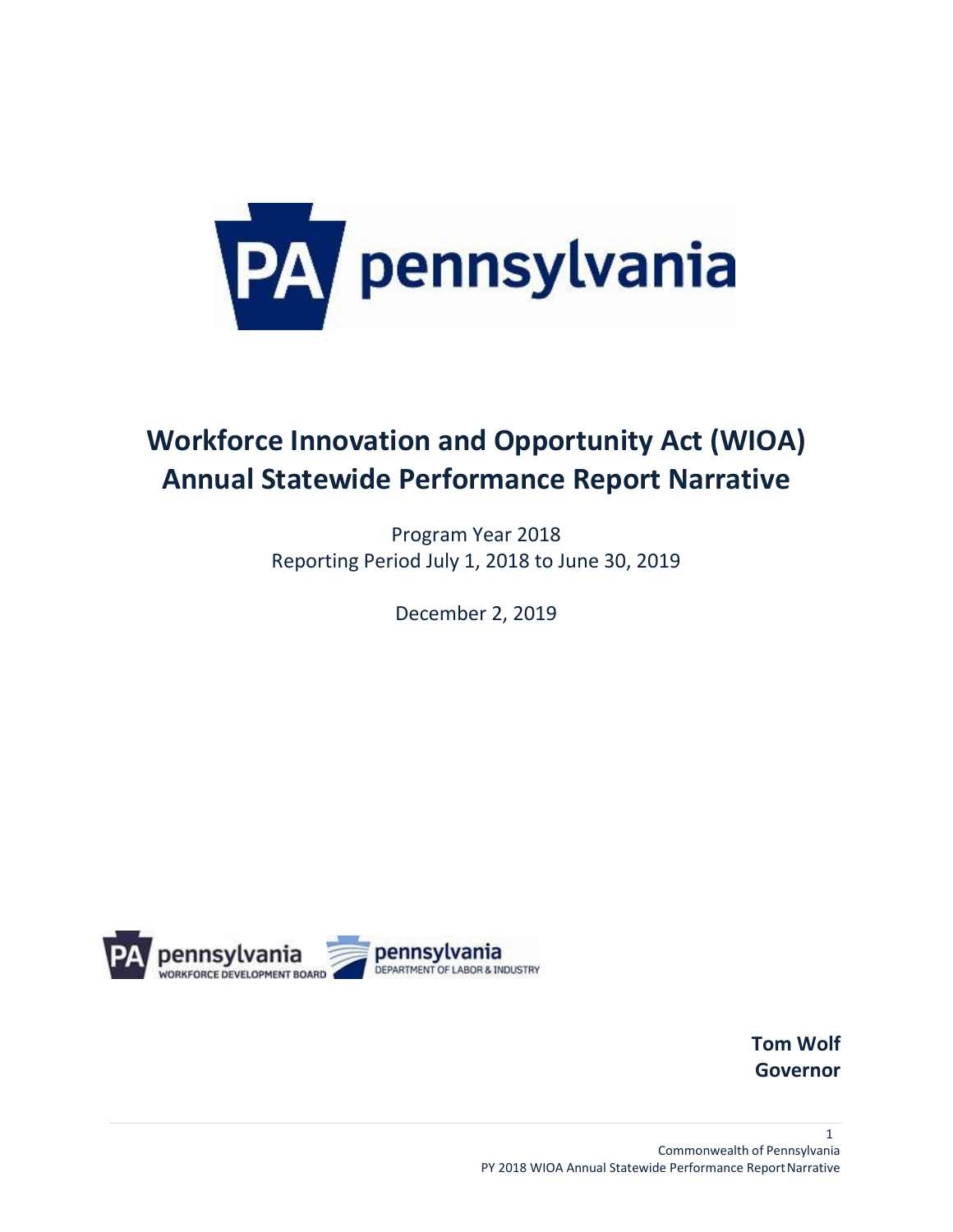

# **Workforce Innovation and Opportunity Act (WIOA) Annual Statewide Performance Report Narrative**

Program Year 2018 Reporting Period July 1, 2018 to June 30, 2019

December 2, 2019



**Tom Wolf Governor**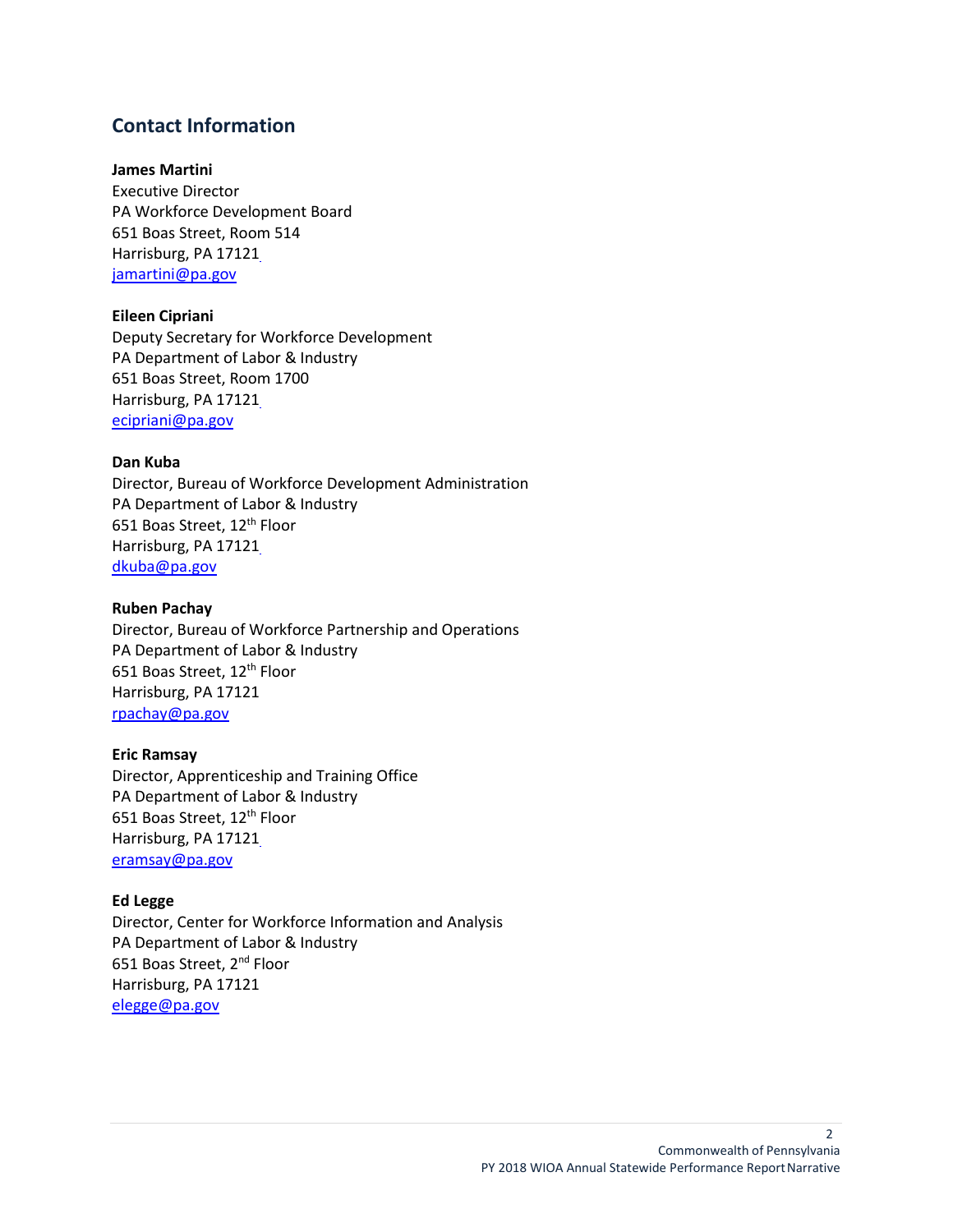# **Contact Information**

#### **James Martini**

Executive Director PA Workforce Development Board 651 Boas Street, Room 514 Harrisburg, PA 1712[1](mailto:%20ajonesmann@pa.gov) [jamartini@pa.gov](mailto:jamartini@pa.gov)

#### **Eileen Cipriani**

Deputy Secretary for Workforce Development PA Department of Labor & Industry 651 Boas Street, Room 1700 Harrisburg, PA 1712[1](mailto:%20ecipriani@pa.gov) [ecipriani@pa.gov](mailto:%20ecipriani@pa.gov)

#### **Dan Kuba**

Director, Bureau of Workforce Development Administration PA Department of Labor & Industry 651 Boas Street, 12<sup>th</sup> Floor Harrisburg, PA 1712[1](mailto:%20dkuba@pa.gov) [dkuba@pa.gov](mailto:%20dkuba@pa.gov)

#### **Ruben Pachay**

Director, Bureau of Workforce Partnership and Operations PA Department of Labor & Industry 651 Boas Street, 12<sup>th</sup> Floor Harrisburg, PA 17121 [rpachay@pa.gov](mailto:rpachay@pa.gov)

#### **Eric Ramsay**

Director, Apprenticeship and Training Office PA Department of Labor & Industry 651 Boas Street, 12<sup>th</sup> Floor Harrisburg, PA 1712[1](mailto:%20eramsay@pa.gov) [eramsay@pa.gov](mailto:%20eramsay@pa.gov)

#### **Ed Legge**

Director, Center for Workforce Information and Analysis PA Department of Labor & Industry 651 Boas Street, 2<sup>nd</sup> Floor Harrisburg, PA 17121 [elegge@pa.gov](mailto:elegge@pa.gov)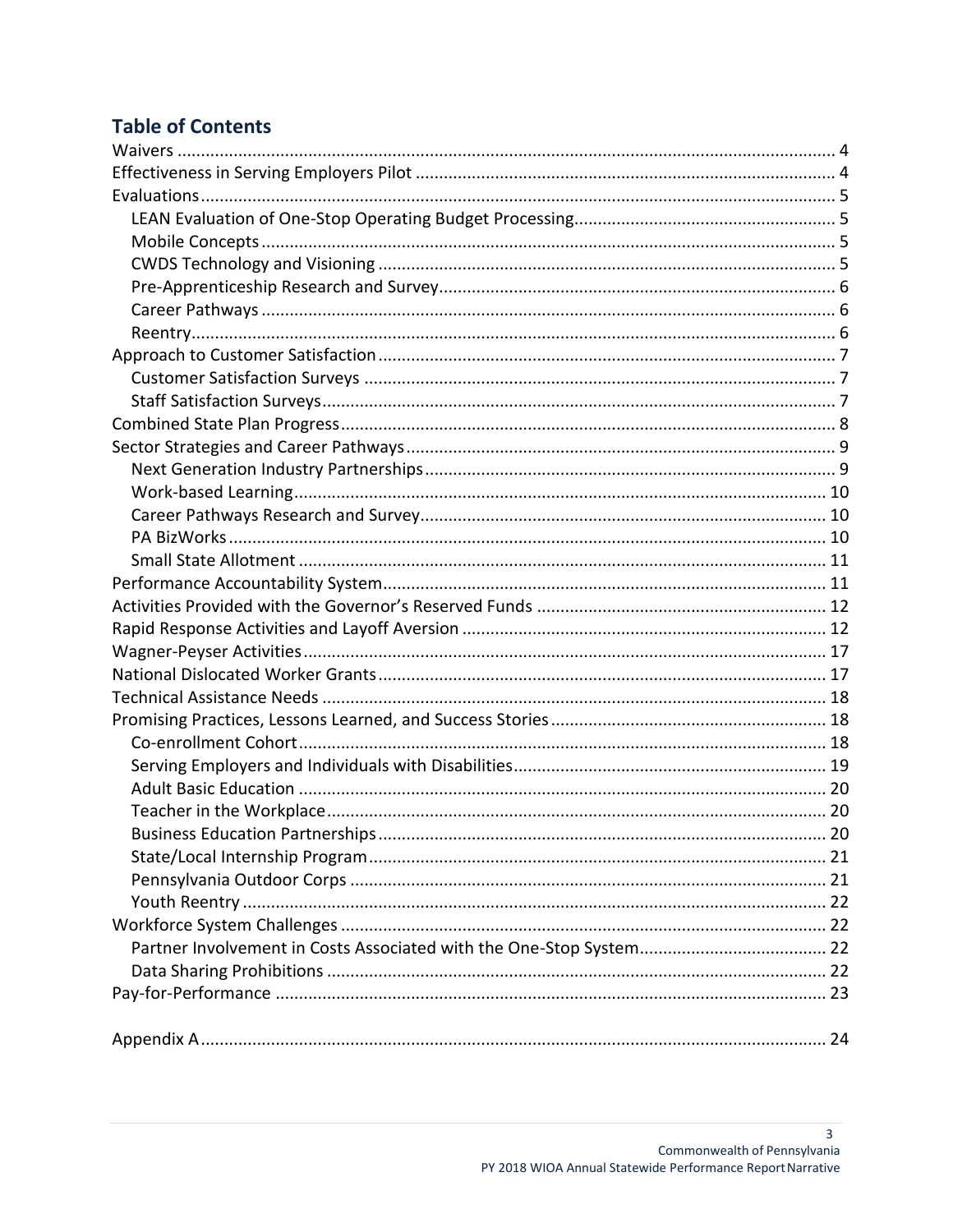# **Table of Contents**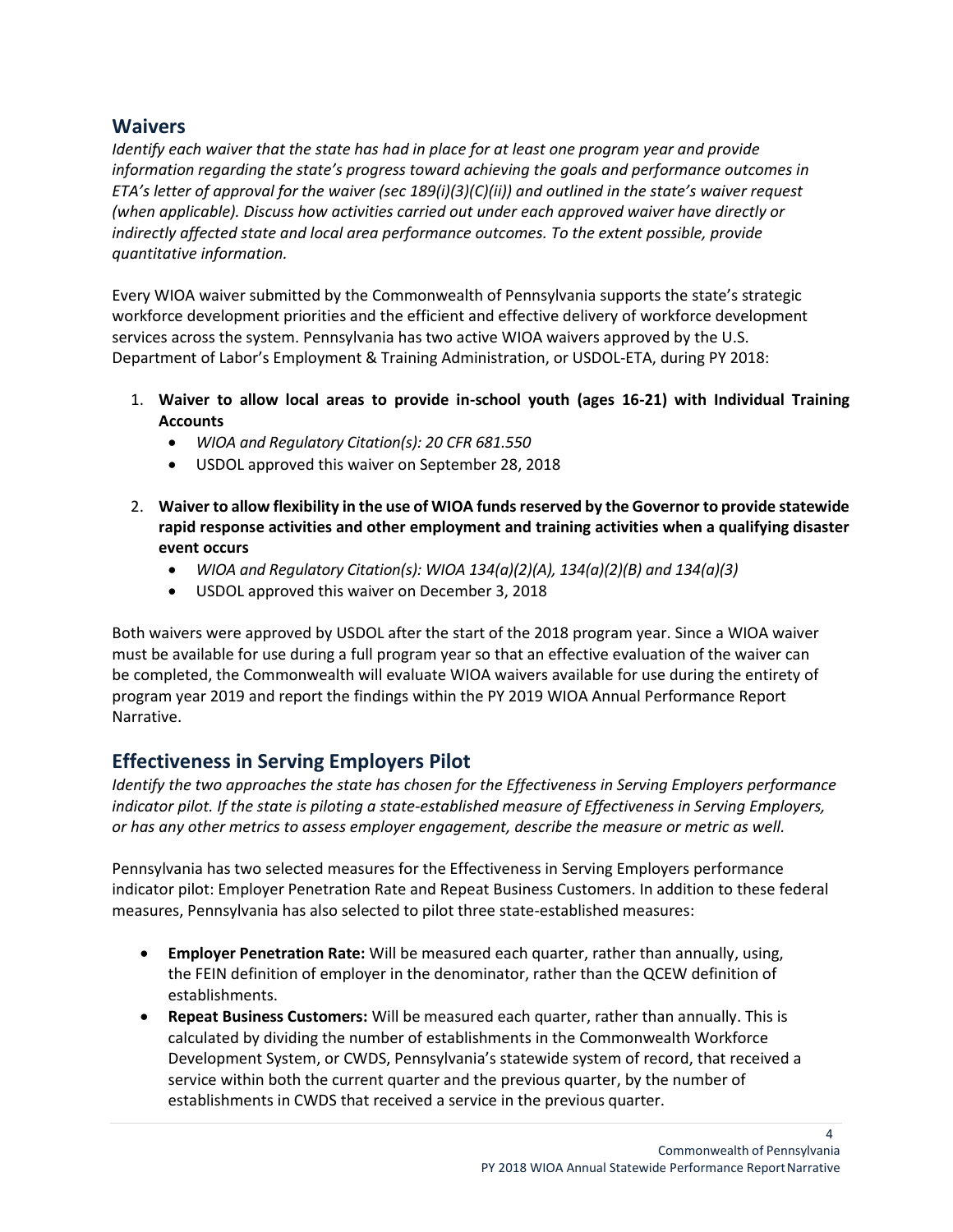# <span id="page-3-0"></span>**Waivers**

*Identify each waiver that the state has had in place for at least one program year and provide information regarding the state's progress toward achieving the goals and performance outcomes in ETA's letter of approval for the waiver (sec 189(i)(3)(C)(ii)) and outlined in the state's waiver request (when applicable). Discuss how activities carried out under each approved waiver have directly or indirectly affected state and local area performance outcomes. To the extent possible, provide quantitative information.*

Every WIOA waiver submitted by the Commonwealth of Pennsylvania supports the state's strategic workforce development priorities and the efficient and effective delivery of workforce development services across the system. Pennsylvania has two active WIOA waivers approved by the U.S. Department of Labor's Employment & Training Administration, or USDOL-ETA, during PY 2018:

- 1. **Waiver to allow local areas to provide in-school youth (ages 16-21) with Individual Training Accounts** 
	- *WIOA and Regulatory Citation(s): 20 CFR 681.550*
	- USDOL approved this waiver on September 28, 2018
- 2. **Waiver to allow flexibility in the use of WIOA funds reserved by the Governor to provide statewide rapid response activities and other employment and training activities when a qualifying disaster event occurs**
	- *WIOA and Regulatory Citation(s): WIOA 134(a)(2)(A), 134(a)(2)(B) and 134(a)(3)*
	- USDOL approved this waiver on December 3, 2018

Both waivers were approved by USDOL after the start of the 2018 program year. Since a WIOA waiver must be available for use during a full program year so that an effective evaluation of the waiver can be completed, the Commonwealth will evaluate WIOA waivers available for use during the entirety of program year 2019 and report the findings within the PY 2019 WIOA Annual Performance Report Narrative.

# <span id="page-3-1"></span>**Effectiveness in Serving Employers Pilot**

*Identify the two approaches the state has chosen for the Effectiveness in Serving Employers performance indicator pilot. If the state is piloting a state-established measure of Effectiveness in Serving Employers, or has any other metrics to assess employer engagement, describe the measure or metric as well.*

Pennsylvania has two selected measures for the Effectiveness in Serving Employers performance indicator pilot: Employer Penetration Rate and Repeat Business Customers. In addition to these federal measures, Pennsylvania has also selected to pilot three state-established measures:

- **Employer Penetration Rate:** Will be measured each quarter, rather than annually, using, the FEIN definition of employer in the denominator, rather than the QCEW definition of establishments.
- **Repeat Business Customers:** Will be measured each quarter, rather than annually. This is calculated by dividing the number of establishments in the Commonwealth Workforce Development System, or CWDS, Pennsylvania's statewide system of record, that received a service within both the current quarter and the previous quarter, by the number of establishments in CWDS that received a service in the previous quarter.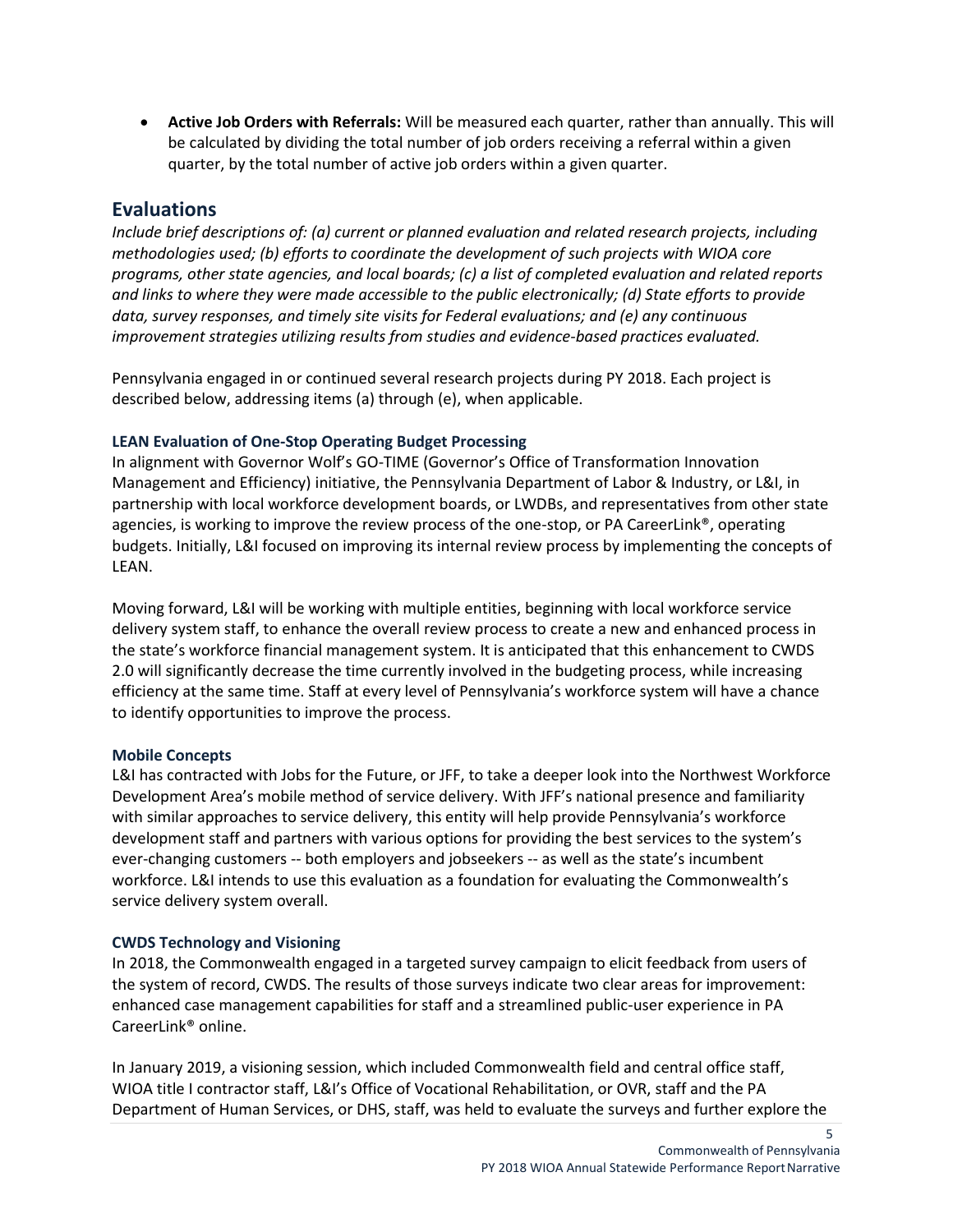• **Active Job Orders with Referrals:** Will be measured each quarter, rather than annually. This will be calculated by dividing the total number of job orders receiving a referral within a given quarter, by the total number of active job orders within a given quarter.

# <span id="page-4-0"></span>**Evaluations**

*Include brief descriptions of: (a) current or planned evaluation and related research projects, including methodologies used; (b) efforts to coordinate the development of such projects with WIOA core programs, other state agencies, and local boards; (c) a list of completed evaluation and related reports and links to where they were made accessible to the public electronically; (d) State efforts to provide data, survey responses, and timely site visits for Federal evaluations; and (e) any continuous improvement strategies utilizing results from studies and evidence-based practices evaluated.*

Pennsylvania engaged in or continued several research projects during PY 2018. Each project is described below, addressing items (a) through (e), when applicable.

### <span id="page-4-1"></span>**LEAN Evaluation of One-Stop Operating Budget Processing**

In alignment with Governor Wolf's GO-TIME (Governor's Office of Transformation Innovation Management and Efficiency) initiative, the Pennsylvania Department of Labor & Industry, or L&I, in partnership with local workforce development boards, or LWDBs, and representatives from other state agencies, is working to improve the review process of the one-stop, or PA CareerLink®, operating budgets. Initially, L&I focused on improving its internal review process by implementing the concepts of LEAN.

Moving forward, L&I will be working with multiple entities, beginning with local workforce service delivery system staff, to enhance the overall review process to create a new and enhanced process in the state's workforce financial management system. It is anticipated that this enhancement to CWDS 2.0 will significantly decrease the time currently involved in the budgeting process, while increasing efficiency at the same time. Staff at every level of Pennsylvania's workforce system will have a chance to identify opportunities to improve the process.

### <span id="page-4-2"></span>**Mobile Concepts**

L&I has contracted with Jobs for the Future, or JFF, to take a deeper look into the Northwest Workforce Development Area's mobile method of service delivery. With JFF's national presence and familiarity with similar approaches to service delivery, this entity will help provide Pennsylvania's workforce development staff and partners with various options for providing the best services to the system's ever-changing customers -- both employers and jobseekers -- as well as the state's incumbent workforce. L&I intends to use this evaluation as a foundation for evaluating the Commonwealth's service delivery system overall.

### <span id="page-4-3"></span>**CWDS Technology and Visioning**

In 2018, the Commonwealth engaged in a targeted survey campaign to elicit feedback from users of the system of record, CWDS. The results of those surveys indicate two clear areas for improvement: enhanced case management capabilities for staff and a streamlined public-user experience in PA CareerLink® online.

In January 2019, a visioning session, which included Commonwealth field and central office staff, WIOA title I contractor staff, L&I's Office of Vocational Rehabilitation, or OVR, staff and the PA Department of Human Services, or DHS, staff, was held to evaluate the surveys and further explore the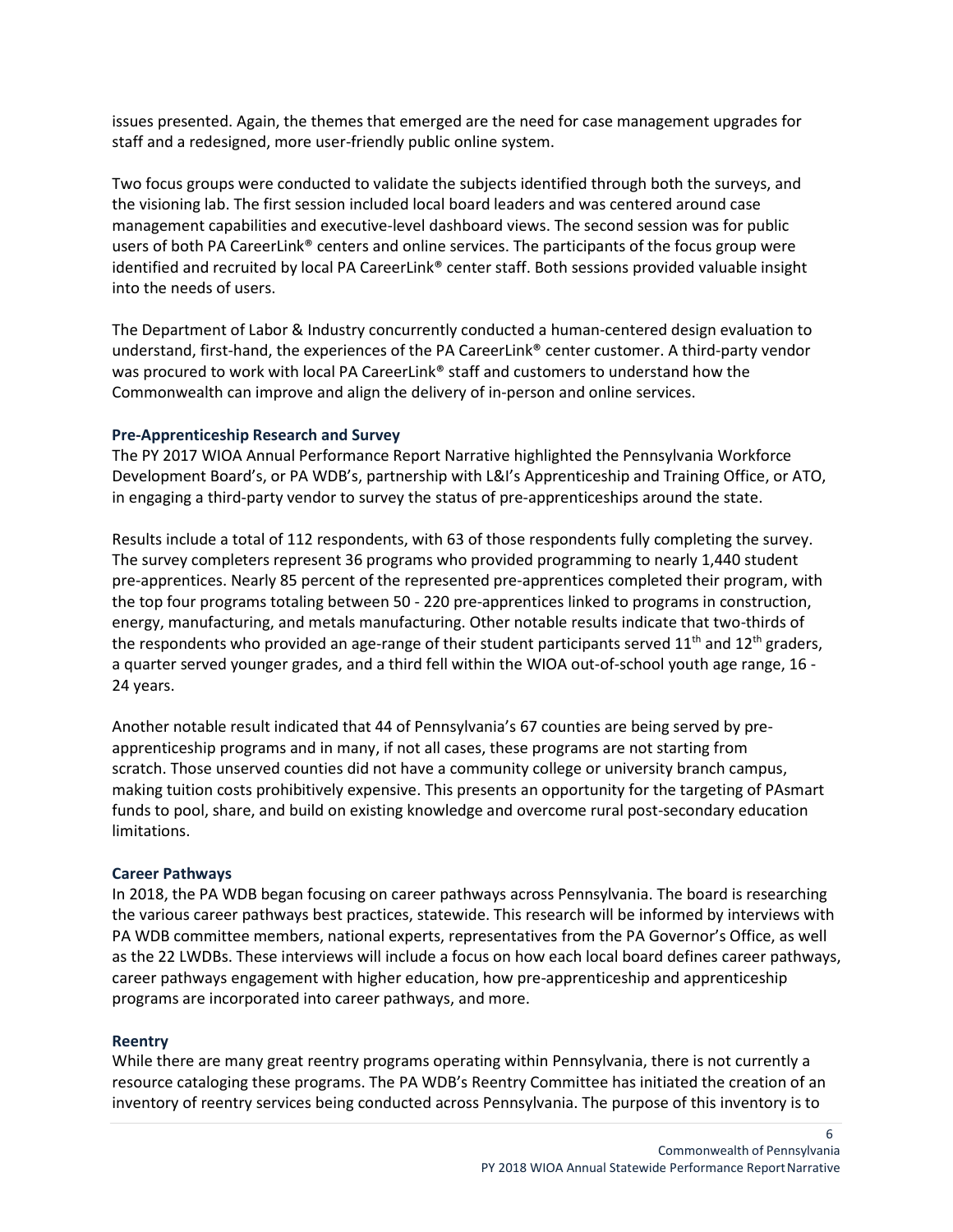issues presented. Again, the themes that emerged are the need for case management upgrades for staff and a redesigned, more user-friendly public online system.

Two focus groups were conducted to validate the subjects identified through both the surveys, and the visioning lab. The first session included local board leaders and was centered around case management capabilities and executive-level dashboard views. The second session was for public users of both PA CareerLink® centers and online services. The participants of the focus group were identified and recruited by local PA CareerLink® center staff. Both sessions provided valuable insight into the needs of users.

The Department of Labor & Industry concurrently conducted a human-centered design evaluation to understand, first-hand, the experiences of the PA CareerLink® center customer. A third-party vendor was procured to work with local PA CareerLink® staff and customers to understand how the Commonwealth can improve and align the delivery of in-person and online services.

#### <span id="page-5-0"></span>**Pre-Apprenticeship Research and Survey**

The PY 2017 WIOA Annual Performance Report Narrative highlighted the Pennsylvania Workforce Development Board's, or PA WDB's, partnership with L&I's Apprenticeship and Training Office, or ATO, in engaging a third-party vendor to survey the status of pre-apprenticeships around the state.

Results include a total of 112 respondents, with 63 of those respondents fully completing the survey. The survey completers represent 36 programs who provided programming to nearly 1,440 student pre-apprentices. Nearly 85 percent of the represented pre-apprentices completed their program, with the top four programs totaling between 50 - 220 pre-apprentices linked to programs in construction, energy, manufacturing, and metals manufacturing. Other notable results indicate that two-thirds of the respondents who provided an age-range of their student participants served  $11<sup>th</sup>$  and  $12<sup>th</sup>$  graders, a quarter served younger grades, and a third fell within the WIOA out-of-school youth age range, 16 - 24 years.

Another notable result indicated that 44 of Pennsylvania's 67 counties are being served by preapprenticeship programs and in many, if not all cases, these programs are not starting from scratch. Those unserved counties did not have a community college or university branch campus, making tuition costs prohibitively expensive. This presents an opportunity for the targeting of PAsmart funds to pool, share, and build on existing knowledge and overcome rural post-secondary education limitations.

#### <span id="page-5-1"></span>**Career Pathways**

In 2018, the PA WDB began focusing on career pathways across Pennsylvania. The board is researching the various career pathways best practices, statewide. This research will be informed by interviews with PA WDB committee members, national experts, representatives from the PA Governor's Office, as well as the 22 LWDBs. These interviews will include a focus on how each local board defines career pathways, career pathways engagement with higher education, how pre-apprenticeship and apprenticeship programs are incorporated into career pathways, and more.

#### <span id="page-5-2"></span>**Reentry**

While there are many great reentry programs operating within Pennsylvania, there is not currently a resource cataloging these programs. The PA WDB's Reentry Committee has initiated the creation of an inventory of reentry services being conducted across Pennsylvania. The purpose of this inventory is to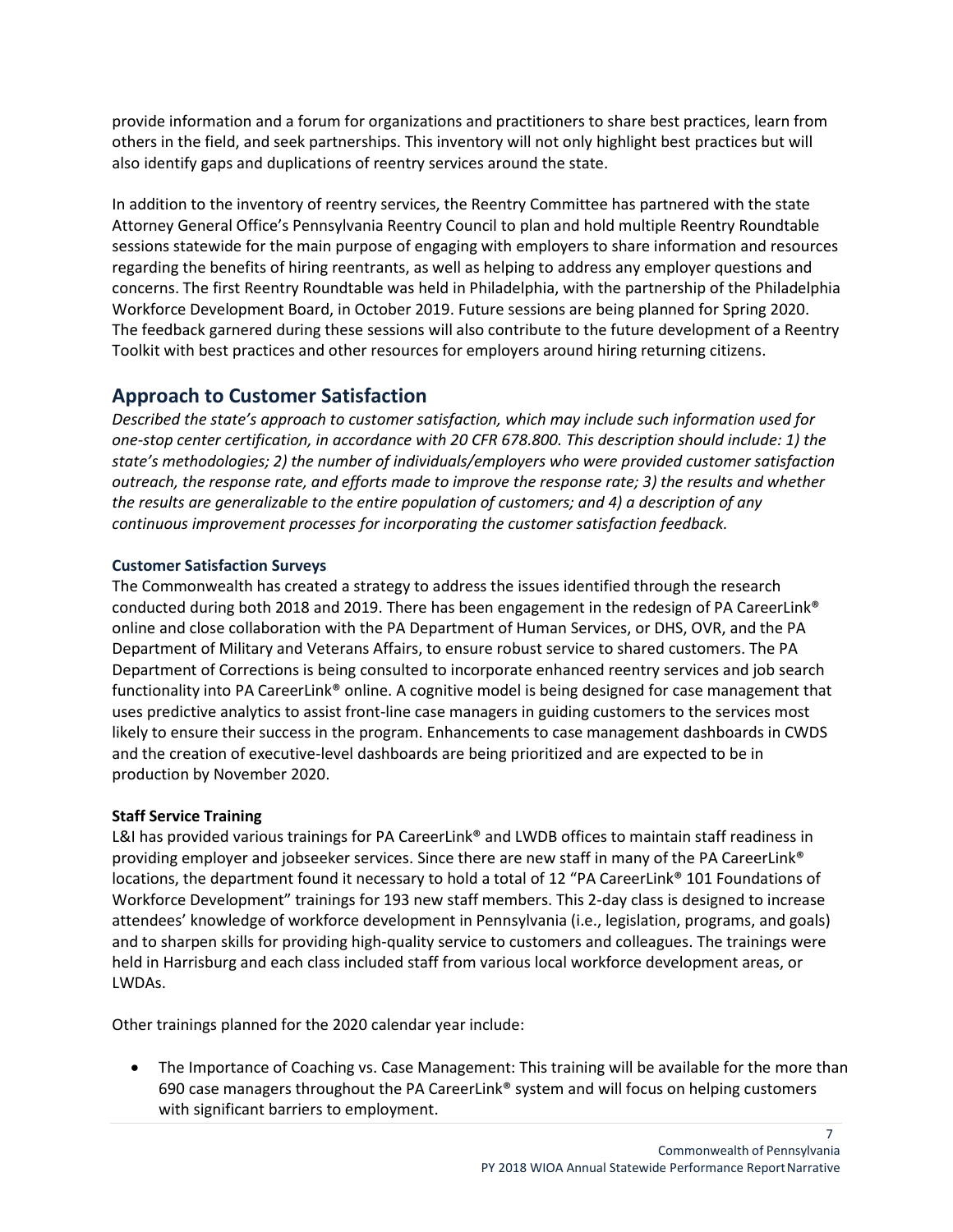provide information and a forum for organizations and practitioners to share best practices, learn from others in the field, and seek partnerships. This inventory will not only highlight best practices but will also identify gaps and duplications of reentry services around the state.

In addition to the inventory of reentry services, the Reentry Committee has partnered with the state Attorney General Office's Pennsylvania Reentry Council to plan and hold multiple Reentry Roundtable sessions statewide for the main purpose of engaging with employers to share information and resources regarding the benefits of hiring reentrants, as well as helping to address any employer questions and concerns. The first Reentry Roundtable was held in Philadelphia, with the partnership of the Philadelphia Workforce Development Board, in October 2019. Future sessions are being planned for Spring 2020. The feedback garnered during these sessions will also contribute to the future development of a Reentry Toolkit with best practices and other resources for employers around hiring returning citizens.

# <span id="page-6-0"></span>**Approach to Customer Satisfaction**

*Described the state's approach to customer satisfaction, which may include such information used for one-stop center certification, in accordance with 20 CFR 678.800. This description should include: 1) the state's methodologies; 2) the number of individuals/employers who were provided customer satisfaction outreach, the response rate, and efforts made to improve the response rate; 3) the results and whether the results are generalizable to the entire population of customers; and 4) a description of any continuous improvement processes for incorporating the customer satisfaction feedback.*

### <span id="page-6-1"></span>**Customer Satisfaction Surveys**

The Commonwealth has created a strategy to address the issues identified through the research conducted during both 2018 and 2019. There has been engagement in the redesign of PA CareerLink® online and close collaboration with the PA Department of Human Services, or DHS, OVR, and the PA Department of Military and Veterans Affairs, to ensure robust service to shared customers. The PA Department of Corrections is being consulted to incorporate enhanced reentry services and job search functionality into PA CareerLink® online. A cognitive model is being designed for case management that uses predictive analytics to assist front-line case managers in guiding customers to the services most likely to ensure their success in the program. Enhancements to case management dashboards in CWDS and the creation of executive-level dashboards are being prioritized and are expected to be in production by November 2020.

### **Staff Service Training**

L&I has provided various trainings for PA CareerLink® and LWDB offices to maintain staff readiness in providing employer and jobseeker services. Since there are new staff in many of the PA CareerLink® locations, the department found it necessary to hold a total of 12 "PA CareerLink® 101 Foundations of Workforce Development" trainings for 193 new staff members. This 2-day class is designed to increase attendees' knowledge of workforce development in Pennsylvania (i.e., legislation, programs, and goals) and to sharpen skills for providing high-quality service to customers and colleagues. The trainings were held in Harrisburg and each class included staff from various local workforce development areas, or LWDAs.

Other trainings planned for the 2020 calendar year include:

• The Importance of Coaching vs. Case Management: This training will be available for the more than 690 case managers throughout the PA CareerLink<sup>®</sup> system and will focus on helping customers with significant barriers to employment.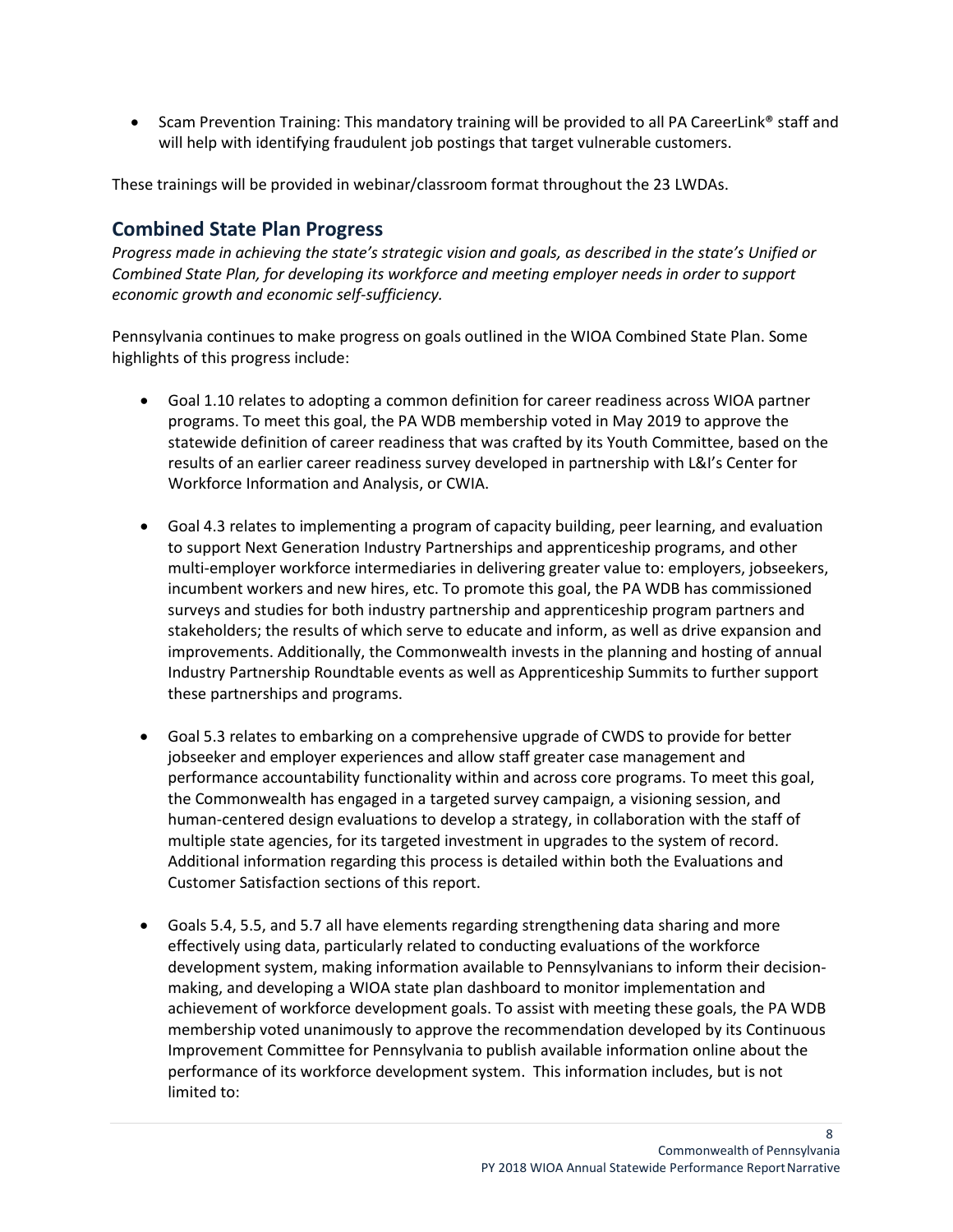• Scam Prevention Training: This mandatory training will be provided to all PA CareerLink® staff and will help with identifying fraudulent job postings that target vulnerable customers.

These trainings will be provided in webinar/classroom format throughout the 23 LWDAs.

# <span id="page-7-0"></span>**Combined State Plan Progress**

*Progress made in achieving the state's strategic vision and goals, as described in the state's Unified or Combined State Plan, for developing its workforce and meeting employer needs in order to support economic growth and economic self-sufficiency.*

Pennsylvania continues to make progress on goals outlined in the WIOA Combined State Plan. Some highlights of this progress include:

- Goal 1.10 relates to adopting a common definition for career readiness across WIOA partner programs. To meet this goal, the PA WDB membership voted in May 2019 to approve the statewide definition of career readiness that was crafted by its Youth Committee, based on the results of an earlier career readiness survey developed in partnership with L&I's Center for Workforce Information and Analysis, or CWIA.
- Goal 4.3 relates to implementing a program of capacity building, peer learning, and evaluation to support Next Generation Industry Partnerships and apprenticeship programs, and other multi-employer workforce intermediaries in delivering greater value to: employers, jobseekers, incumbent workers and new hires, etc. To promote this goal, the PA WDB has commissioned surveys and studies for both industry partnership and apprenticeship program partners and stakeholders; the results of which serve to educate and inform, as well as drive expansion and improvements. Additionally, the Commonwealth invests in the planning and hosting of annual Industry Partnership Roundtable events as well as Apprenticeship Summits to further support these partnerships and programs.
- Goal 5.3 relates to embarking on a comprehensive upgrade of CWDS to provide for better jobseeker and employer experiences and allow staff greater case management and performance accountability functionality within and across core programs. To meet this goal, the Commonwealth has engaged in a targeted survey campaign, a visioning session, and human-centered design evaluations to develop a strategy, in collaboration with the staff of multiple state agencies, for its targeted investment in upgrades to the system of record. Additional information regarding this process is detailed within both the Evaluations and Customer Satisfaction sections of this report.
- Goals 5.4, 5.5, and 5.7 all have elements regarding strengthening data sharing and more effectively using data, particularly related to conducting evaluations of the workforce development system, making information available to Pennsylvanians to inform their decisionmaking, and developing a WIOA state plan dashboard to monitor implementation and achievement of workforce development goals. To assist with meeting these goals, the PA WDB membership voted unanimously to approve the recommendation developed by its Continuous Improvement Committee for Pennsylvania to publish available information online about the performance of its workforce development system. This information includes, but is not limited to: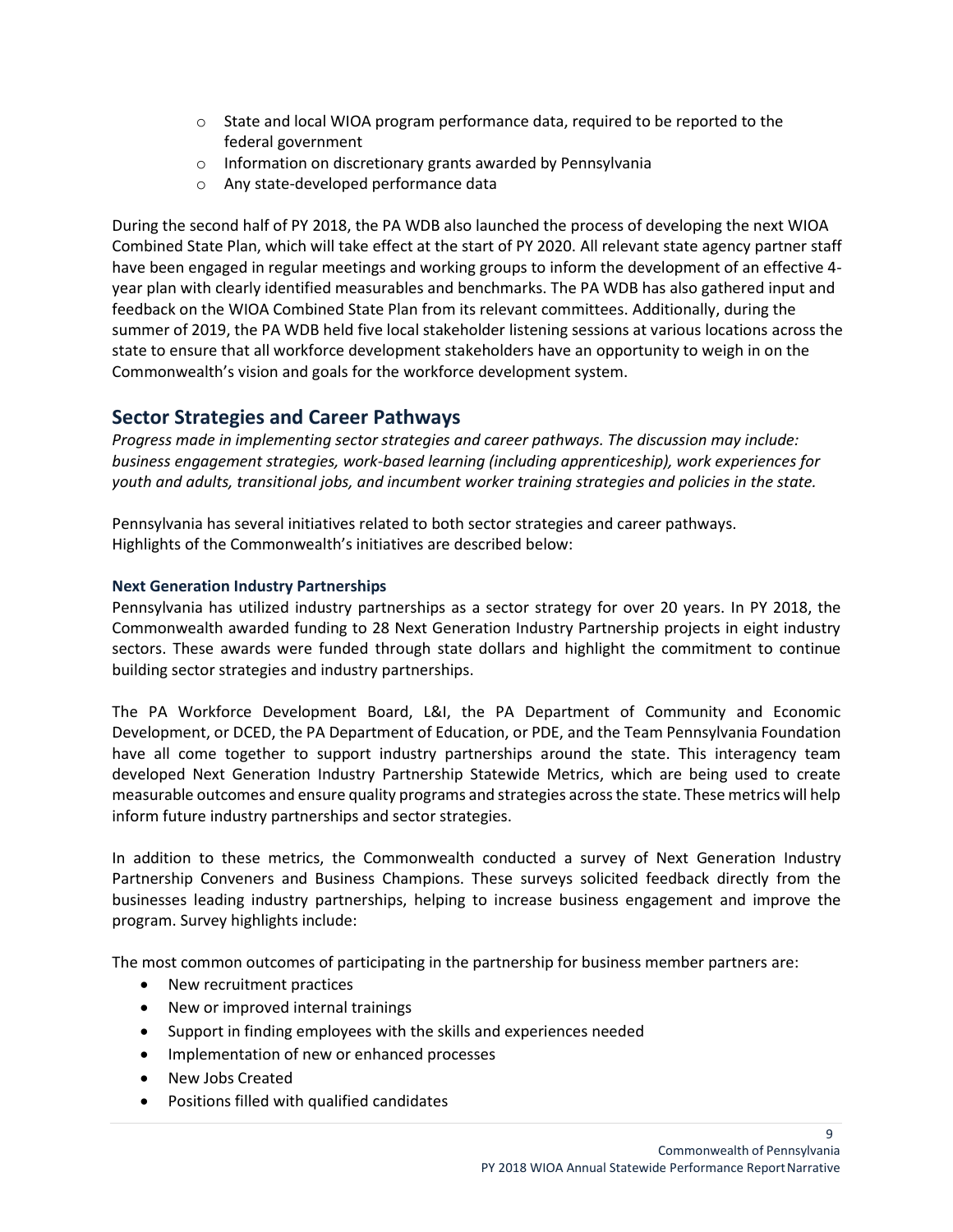- $\circ$  State and local WIOA program performance data, required to be reported to the federal government
- o Information on discretionary grants awarded by Pennsylvania
- o Any state-developed performance data

During the second half of PY 2018, the PA WDB also launched the process of developing the next WIOA Combined State Plan, which will take effect at the start of PY 2020. All relevant state agency partner staff have been engaged in regular meetings and working groups to inform the development of an effective 4 year plan with clearly identified measurables and benchmarks. The PA WDB has also gathered input and feedback on the WIOA Combined State Plan from its relevant committees. Additionally, during the summer of 2019, the PA WDB held five local stakeholder listening sessions at various locations across the state to ensure that all workforce development stakeholders have an opportunity to weigh in on the Commonwealth's vision and goals for the workforce development system.

# <span id="page-8-0"></span>**Sector Strategies and Career Pathways**

*Progress made in implementing sector strategies and career pathways. The discussion may include: business engagement strategies, work-based learning (including apprenticeship), work experiences for youth and adults, transitional jobs, and incumbent worker training strategies and policies in the state.*

Pennsylvania has several initiatives related to both sector strategies and career pathways. Highlights of the Commonwealth's initiatives are described below:

### <span id="page-8-1"></span>**Next Generation Industry Partnerships**

Pennsylvania has utilized industry partnerships as a sector strategy for over 20 years. In PY 2018, the Commonwealth awarded funding to 28 Next Generation Industry Partnership projects in eight industry sectors. These awards were funded through state dollars and highlight the commitment to continue building sector strategies and industry partnerships.

The PA Workforce Development Board, L&I, the PA Department of Community and Economic Development, or DCED, the PA Department of Education, or PDE, and the Team Pennsylvania Foundation have all come together to support industry partnerships around the state. This interagency team developed Next Generation Industry Partnership Statewide Metrics, which are being used to create measurable outcomes and ensure quality programs and strategies across the state. These metrics will help inform future industry partnerships and sector strategies.

In addition to these metrics, the Commonwealth conducted a survey of Next Generation Industry Partnership Conveners and Business Champions. These surveys solicited feedback directly from the businesses leading industry partnerships, helping to increase business engagement and improve the program. Survey highlights include:

The most common outcomes of participating in the partnership for business member partners are:

- New recruitment practices
- New or improved internal trainings
- Support in finding employees with the skills and experiences needed
- Implementation of new or enhanced processes
- New Jobs Created
- Positions filled with qualified candidates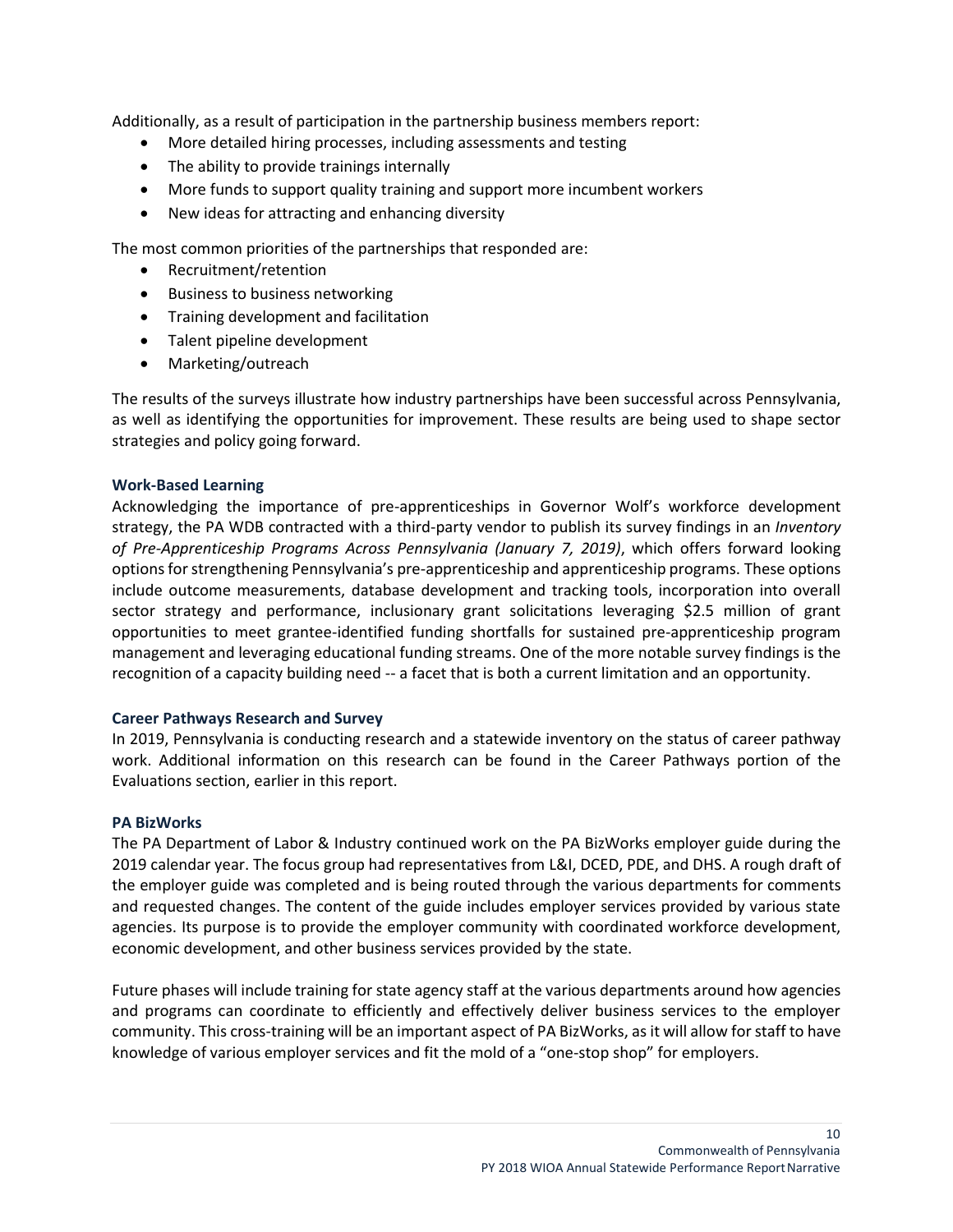Additionally, as a result of participation in the partnership business members report:

- More detailed hiring processes, including assessments and testing
- The ability to provide trainings internally
- More funds to support quality training and support more incumbent workers
- New ideas for attracting and enhancing diversity

The most common priorities of the partnerships that responded are:

- Recruitment/retention
- Business to business networking
- Training development and facilitation
- Talent pipeline development
- Marketing/outreach

The results of the surveys illustrate how industry partnerships have been successful across Pennsylvania, as well as identifying the opportunities for improvement. These results are being used to shape sector strategies and policy going forward.

#### <span id="page-9-0"></span>**Work-Based Learning**

Acknowledging the importance of pre-apprenticeships in Governor Wolf's workforce development strategy, the PA WDB contracted with a third-party vendor to publish its survey findings in an *Inventory of Pre-Apprenticeship Programs Across Pennsylvania (January 7, 2019)*, which offers forward looking options for strengthening Pennsylvania's pre-apprenticeship and apprenticeship programs. These options include outcome measurements, database development and tracking tools, incorporation into overall sector strategy and performance, inclusionary grant solicitations leveraging \$2.5 million of grant opportunities to meet grantee-identified funding shortfalls for sustained pre-apprenticeship program management and leveraging educational funding streams. One of the more notable survey findings is the recognition of a capacity building need -- a facet that is both a current limitation and an opportunity.

#### <span id="page-9-1"></span>**Career Pathways Research and Survey**

In 2019, Pennsylvania is conducting research and a statewide inventory on the status of career pathway work. Additional information on this research can be found in the Career Pathways portion of the Evaluations section, earlier in this report.

#### <span id="page-9-2"></span>**PA BizWorks**

The PA Department of Labor & Industry continued work on the PA BizWorks employer guide during the 2019 calendar year. The focus group had representatives from L&I, DCED, PDE, and DHS. A rough draft of the employer guide was completed and is being routed through the various departments for comments and requested changes. The content of the guide includes employer services provided by various state agencies. Its purpose is to provide the employer community with coordinated workforce development, economic development, and other business services provided by the state.

<span id="page-9-3"></span>Future phases will include training for state agency staff at the various departments around how agencies and programs can coordinate to efficiently and effectively deliver business services to the employer community. This cross-training will be an important aspect of PA BizWorks, as it will allow for staff to have knowledge of various employer services and fit the mold of a "one-stop shop" for employers.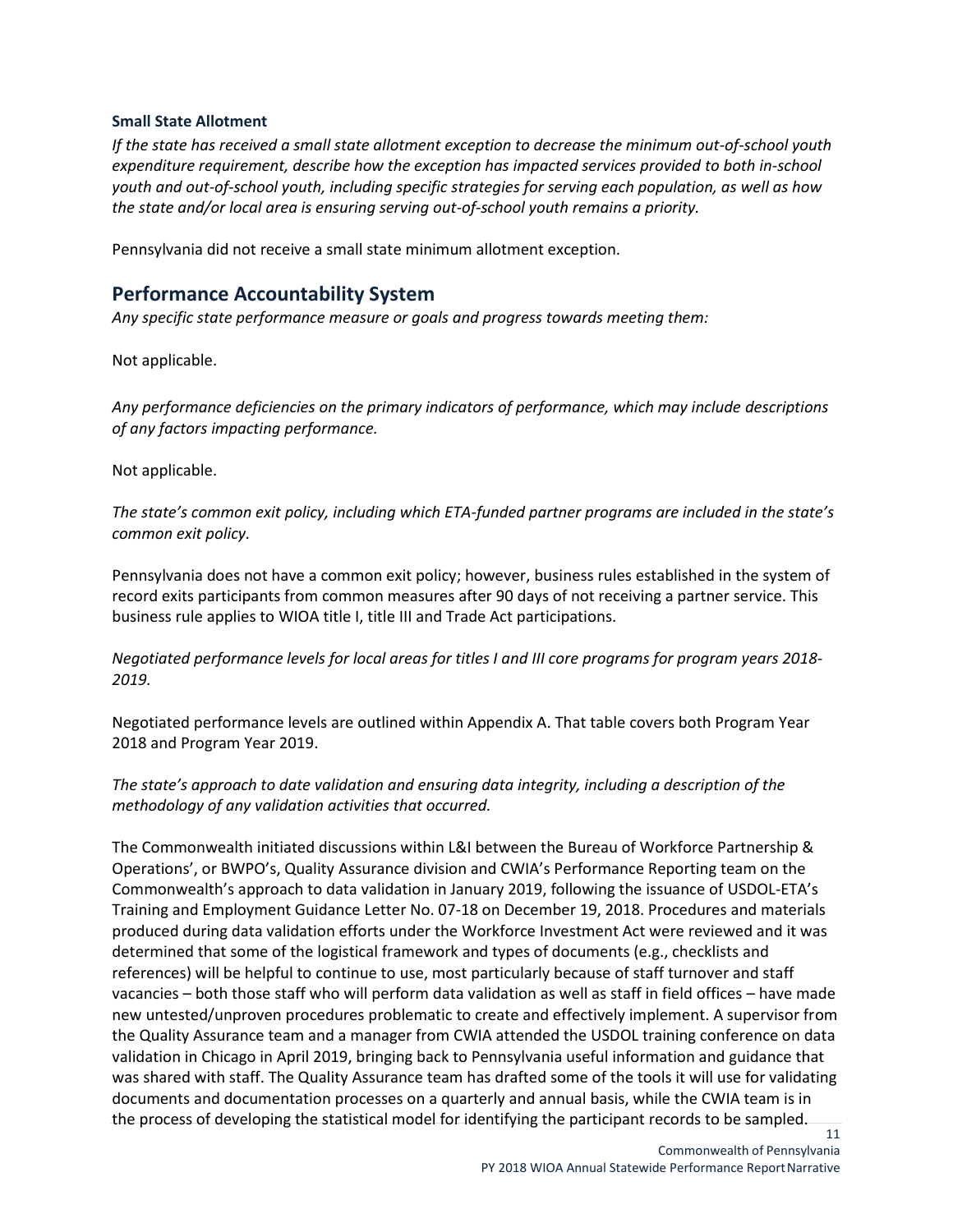#### **Small State Allotment**

*If the state has received a small state allotment exception to decrease the minimum out-of-school youth expenditure requirement, describe how the exception has impacted services provided to both in-school youth and out-of-school youth, including specific strategies for serving each population, as well as how the state and/or local area is ensuring serving out-of-school youth remains a priority.*

Pennsylvania did not receive a small state minimum allotment exception.

## <span id="page-10-0"></span>**Performance Accountability System**

*Any specific state performance measure or goals and progress towards meeting them:*

Not applicable.

*Any performance deficiencies on the primary indicators of performance, which may include descriptions of any factors impacting performance.*

Not applicable.

*The state's common exit policy, including which ETA-funded partner programs are included in the state's common exit policy.*

Pennsylvania does not have a common exit policy; however, business rules established in the system of record exits participants from common measures after 90 days of not receiving a partner service. This business rule applies to WIOA title I, title III and Trade Act participations.

*Negotiated performance levels for local areas for titles I and III core programs for program years 2018- 2019.*

Negotiated performance levels are outlined within Appendix A. That table covers both Program Year 2018 and Program Year 2019.

### *The state's approach to date validation and ensuring data integrity, including a description of the methodology of any validation activities that occurred.*

11 The Commonwealth initiated discussions within L&I between the Bureau of Workforce Partnership & Operations', or BWPO's, Quality Assurance division and CWIA's Performance Reporting team on the Commonwealth's approach to data validation in January 2019, following the issuance of USDOL-ETA's Training and Employment Guidance Letter No. 07-18 on December 19, 2018. Procedures and materials produced during data validation efforts under the Workforce Investment Act were reviewed and it was determined that some of the logistical framework and types of documents (e.g., checklists and references) will be helpful to continue to use, most particularly because of staff turnover and staff vacancies – both those staff who will perform data validation as well as staff in field offices – have made new untested/unproven procedures problematic to create and effectively implement. A supervisor from the Quality Assurance team and a manager from CWIA attended the USDOL training conference on data validation in Chicago in April 2019, bringing back to Pennsylvania useful information and guidance that was shared with staff. The Quality Assurance team has drafted some of the tools it will use for validating documents and documentation processes on a quarterly and annual basis, while the CWIA team is in the process of developing the statistical model for identifying the participant records to be sampled.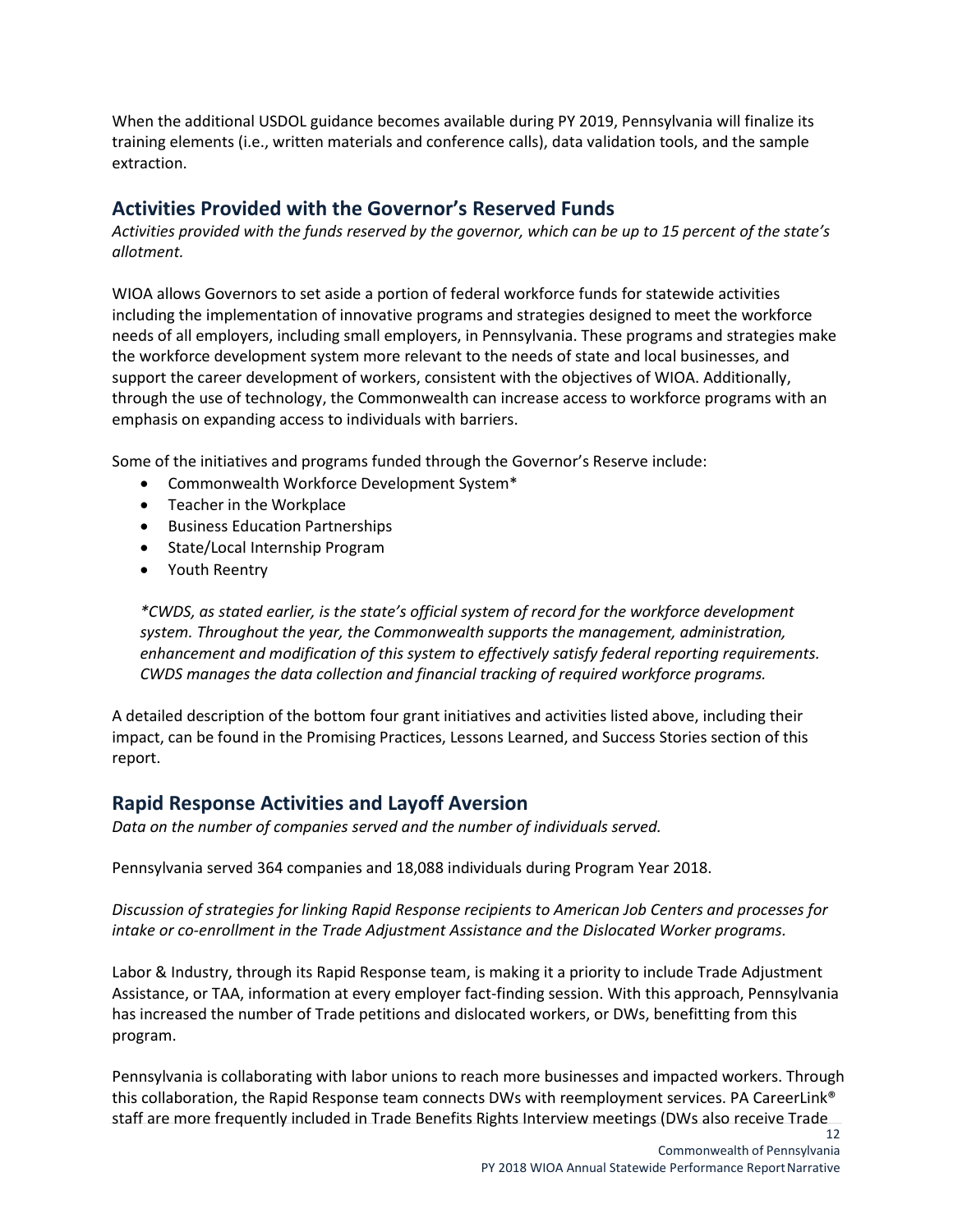When the additional USDOL guidance becomes available during PY 2019, Pennsylvania will finalize its training elements (i.e., written materials and conference calls), data validation tools, and the sample extraction.

# <span id="page-11-0"></span>**Activities Provided with the Governor's Reserved Funds**

*Activities provided with the funds reserved by the governor, which can be up to 15 percent of the state's allotment.*

WIOA allows Governors to set aside a portion of federal workforce funds for statewide activities including the implementation of innovative programs and strategies designed to meet the workforce needs of all employers, including small employers, in Pennsylvania. These programs and strategies make the workforce development system more relevant to the needs of state and local businesses, and support the career development of workers, consistent with the objectives of WIOA. Additionally, through the use of technology, the Commonwealth can increase access to workforce programs with an emphasis on expanding access to individuals with barriers.

Some of the initiatives and programs funded through the Governor's Reserve include:

- Commonwealth Workforce Development System\*
- Teacher in the Workplace
- Business Education Partnerships
- State/Local Internship Program
- Youth Reentry

*\*CWDS, as stated earlier, is the state's official system of record for the workforce development system. Throughout the year, the Commonwealth supports the management, administration, enhancement and modification of this system to effectively satisfy federal reporting requirements. CWDS manages the data collection and financial tracking of required workforce programs.* 

A detailed description of the bottom four grant initiatives and activities listed above, including their impact, can be found in the Promising Practices, Lessons Learned, and Success Stories section of this report.

# <span id="page-11-1"></span>**Rapid Response Activities and Layoff Aversion**

*Data on the number of companies served and the number of individuals served.*

Pennsylvania served 364 companies and 18,088 individuals during Program Year 2018.

*Discussion of strategies for linking Rapid Response recipients to American Job Centers and processes for intake or co-enrollment in the Trade Adjustment Assistance and the Dislocated Worker programs.*

Labor & Industry, through its Rapid Response team, is making it a priority to include Trade Adjustment Assistance, or TAA, information at every employer fact-finding session. With this approach, Pennsylvania has increased the number of Trade petitions and dislocated workers, or DWs, benefitting from this program.

Pennsylvania is collaborating with labor unions to reach more businesses and impacted workers. Through this collaboration, the Rapid Response team connects DWs with reemployment services. PA CareerLink® staff are more frequently included in Trade Benefits Rights Interview meetings (DWs also receive Trade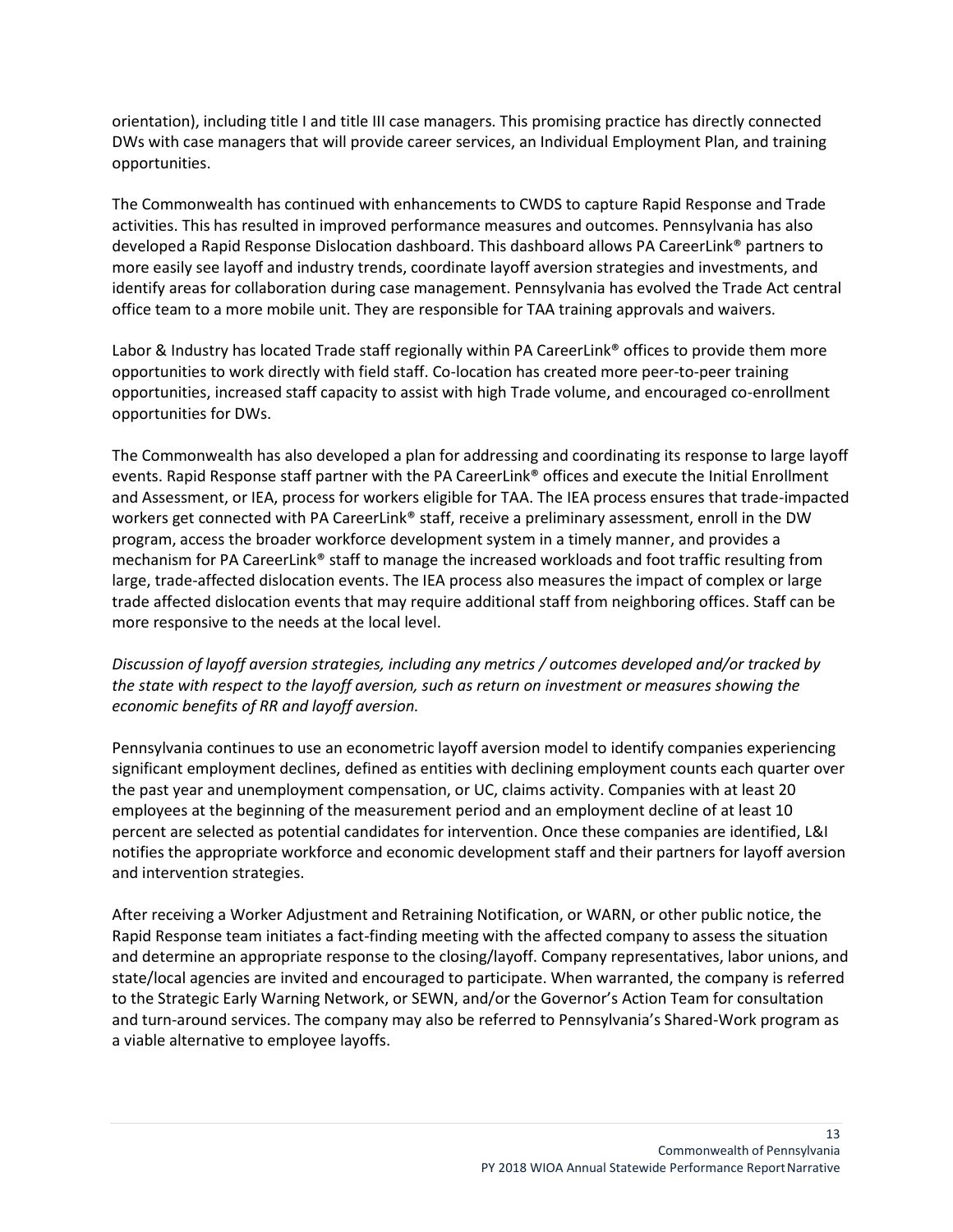orientation), including title I and title III case managers. This promising practice has directly connected DWs with case managers that will provide career services, an Individual Employment Plan, and training opportunities.

The Commonwealth has continued with enhancements to CWDS to capture Rapid Response and Trade activities. This has resulted in improved performance measures and outcomes. Pennsylvania has also developed a Rapid Response Dislocation dashboard. This dashboard allows PA CareerLink® partners to more easily see layoff and industry trends, coordinate layoff aversion strategies and investments, and identify areas for collaboration during case management. Pennsylvania has evolved the Trade Act central office team to a more mobile unit. They are responsible for TAA training approvals and waivers.

Labor & Industry has located Trade staff regionally within PA CareerLink® offices to provide them more opportunities to work directly with field staff. Co-location has created more peer-to-peer training opportunities, increased staff capacity to assist with high Trade volume, and encouraged co-enrollment opportunities for DWs.

The Commonwealth has also developed a plan for addressing and coordinating its response to large layoff events. Rapid Response staff partner with the PA CareerLink® offices and execute the Initial Enrollment and Assessment, or IEA, process for workers eligible for TAA. The IEA process ensures that trade-impacted workers get connected with PA CareerLink® staff, receive a preliminary assessment, enroll in the DW program, access the broader workforce development system in a timely manner, and provides a mechanism for PA CareerLink® staff to manage the increased workloads and foot traffic resulting from large, trade-affected dislocation events. The IEA process also measures the impact of complex or large trade affected dislocation events that may require additional staff from neighboring offices. Staff can be more responsive to the needs at the local level.

*Discussion of layoff aversion strategies, including any metrics / outcomes developed and/or tracked by the state with respect to the layoff aversion, such as return on investment or measures showing the economic benefits of RR and layoff aversion.*

Pennsylvania continues to use an econometric layoff aversion model to identify companies experiencing significant employment declines, defined as entities with declining employment counts each quarter over the past year and unemployment compensation, or UC, claims activity. Companies with at least 20 employees at the beginning of the measurement period and an employment decline of at least 10 percent are selected as potential candidates for intervention. Once these companies are identified, L&I notifies the appropriate workforce and economic development staff and their partners for layoff aversion and intervention strategies.

After receiving a Worker Adjustment and Retraining Notification, or WARN, or other public notice, the Rapid Response team initiates a fact-finding meeting with the affected company to assess the situation and determine an appropriate response to the closing/layoff. Company representatives, labor unions, and state/local agencies are invited and encouraged to participate. When warranted, the company is referred to the Strategic Early Warning Network, or SEWN, and/or the Governor's Action Team for consultation and turn-around services. The company may also be referred to Pennsylvania's Shared-Work program as a viable alternative to employee layoffs.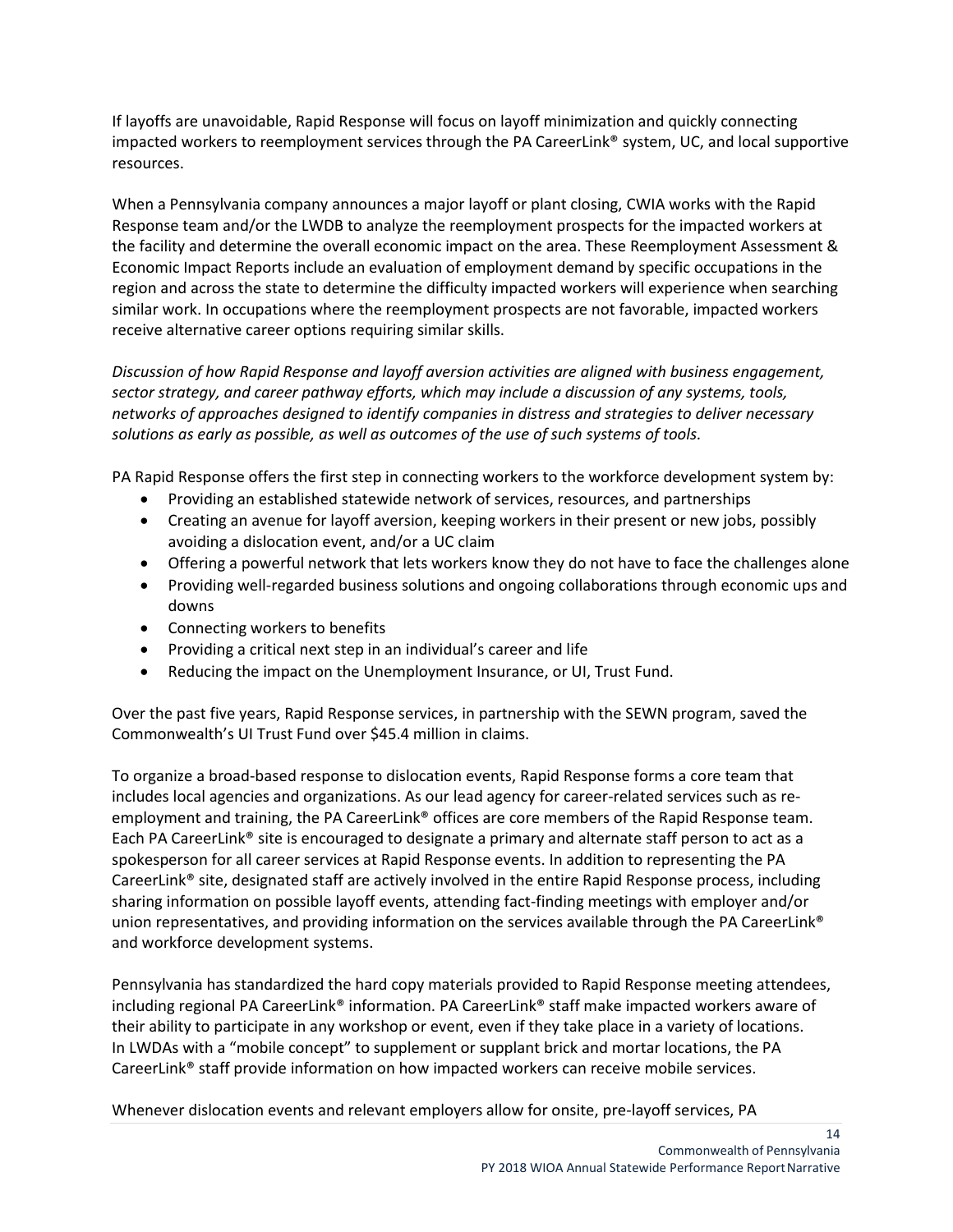If layoffs are unavoidable, Rapid Response will focus on layoff minimization and quickly connecting impacted workers to reemployment services through the PA CareerLink® system, UC, and local supportive resources.

When a Pennsylvania company announces a major layoff or plant closing, CWIA works with the Rapid Response team and/or the LWDB to analyze the reemployment prospects for the impacted workers at the facility and determine the overall economic impact on the area. These Reemployment Assessment & Economic Impact Reports include an evaluation of employment demand by specific occupations in the region and across the state to determine the difficulty impacted workers will experience when searching similar work. In occupations where the reemployment prospects are not favorable, impacted workers receive alternative career options requiring similar skills.

*Discussion of how Rapid Response and layoff aversion activities are aligned with business engagement, sector strategy, and career pathway efforts, which may include a discussion of any systems, tools, networks of approaches designed to identify companies in distress and strategies to deliver necessary solutions as early as possible, as well as outcomes of the use of such systems of tools.*

PA Rapid Response offers the first step in connecting workers to the workforce development system by:

- Providing an established statewide network of services, resources, and partnerships
- Creating an avenue for layoff aversion, keeping workers in their present or new jobs, possibly avoiding a dislocation event, and/or a UC claim
- Offering a powerful network that lets workers know they do not have to face the challenges alone
- Providing well-regarded business solutions and ongoing collaborations through economic ups and downs
- Connecting workers to benefits
- Providing a critical next step in an individual's career and life
- Reducing the impact on the Unemployment Insurance, or UI, Trust Fund.

Over the past five years, Rapid Response services, in partnership with the SEWN program, saved the Commonwealth's UI Trust Fund over \$45.4 million in claims.

To organize a broad-based response to dislocation events, Rapid Response forms a core team that includes local agencies and organizations. As our lead agency for career-related services such as reemployment and training, the PA CareerLink<sup>®</sup> offices are core members of the Rapid Response team. Each PA CareerLink® site is encouraged to designate a primary and alternate staff person to act as a spokesperson for all career services at Rapid Response events. In addition to representing the PA CareerLink® site, designated staff are actively involved in the entire Rapid Response process, including sharing information on possible layoff events, attending fact-finding meetings with employer and/or union representatives, and providing information on the services available through the PA CareerLink® and workforce development systems.

Pennsylvania has standardized the hard copy materials provided to Rapid Response meeting attendees, including regional PA CareerLink® information. PA CareerLink® staff make impacted workers aware of their ability to participate in any workshop or event, even if they take place in a variety of locations. In LWDAs with a "mobile concept" to supplement or supplant brick and mortar locations, the PA CareerLink® staff provide information on how impacted workers can receive mobile services.

Whenever dislocation events and relevant employers allow for onsite, pre-layoff services, PA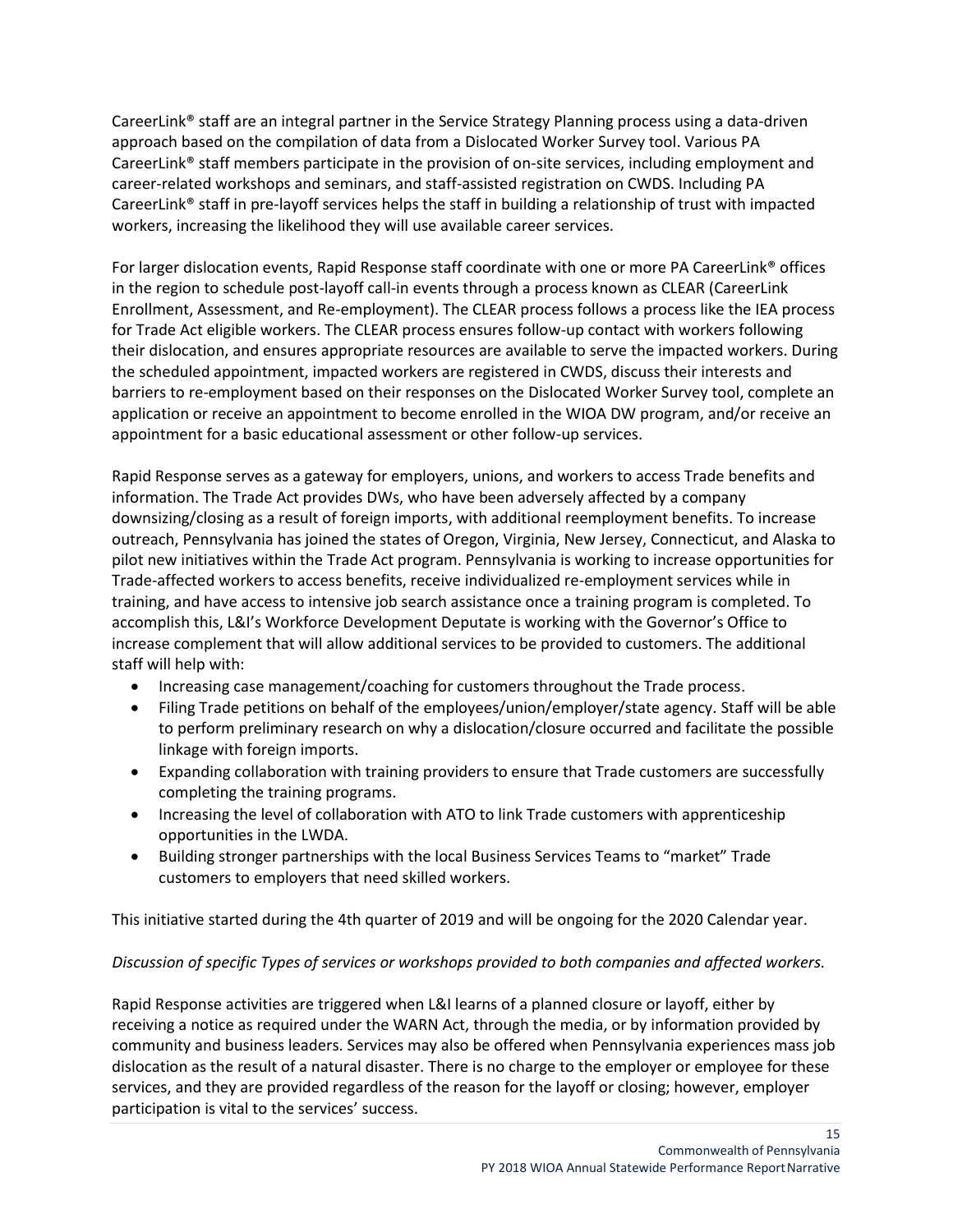CareerLink® staff are an integral partner in the Service Strategy Planning process using a data-driven approach based on the compilation of data from a Dislocated Worker Survey tool. Various PA CareerLink® staff members participate in the provision of on-site services, including employment and career-related workshops and seminars, and staff-assisted registration on CWDS. Including PA CareerLink® staff in pre-layoff services helps the staff in building a relationship of trust with impacted workers, increasing the likelihood they will use available career services.

For larger dislocation events, Rapid Response staff coordinate with one or more PA CareerLink® offices in the region to schedule post-layoff call-in events through a process known as CLEAR (CareerLink Enrollment, Assessment, and Re-employment). The CLEAR process follows a process like the IEA process for Trade Act eligible workers. The CLEAR process ensures follow-up contact with workers following their dislocation, and ensures appropriate resources are available to serve the impacted workers. During the scheduled appointment, impacted workers are registered in CWDS, discuss their interests and barriers to re-employment based on their responses on the Dislocated Worker Survey tool, complete an application or receive an appointment to become enrolled in the WIOA DW program, and/or receive an appointment for a basic educational assessment or other follow-up services.

Rapid Response serves as a gateway for employers, unions, and workers to access Trade benefits and information. The Trade Act provides DWs, who have been adversely affected by a company downsizing/closing as a result of foreign imports, with additional reemployment benefits. To increase outreach, Pennsylvania has joined the states of Oregon, Virginia, New Jersey, Connecticut, and Alaska to pilot new initiatives within the Trade Act program. Pennsylvania is working to increase opportunities for Trade-affected workers to access benefits, receive individualized re-employment services while in training, and have access to intensive job search assistance once a training program is completed. To accomplish this, L&I's Workforce Development Deputate is working with the Governor's Office to increase complement that will allow additional services to be provided to customers. The additional staff will help with:

- Increasing case management/coaching for customers throughout the Trade process.
- Filing Trade petitions on behalf of the employees/union/employer/state agency. Staff will be able to perform preliminary research on why a dislocation/closure occurred and facilitate the possible linkage with foreign imports.
- Expanding collaboration with training providers to ensure that Trade customers are successfully completing the training programs.
- Increasing the level of collaboration with ATO to link Trade customers with apprenticeship opportunities in the LWDA.
- Building stronger partnerships with the local Business Services Teams to "market" Trade customers to employers that need skilled workers.

This initiative started during the 4th quarter of 2019 and will be ongoing for the 2020 Calendar year.

### *Discussion of specific Types of services or workshops provided to both companies and affected workers.*

Rapid Response activities are triggered when L&I learns of a planned closure or layoff, either by receiving a notice as required under the WARN Act, through the media, or by information provided by community and business leaders. Services may also be offered when Pennsylvania experiences mass job dislocation as the result of a natural disaster. There is no charge to the employer or employee for these services, and they are provided regardless of the reason for the layoff or closing; however, employer participation is vital to the services' success.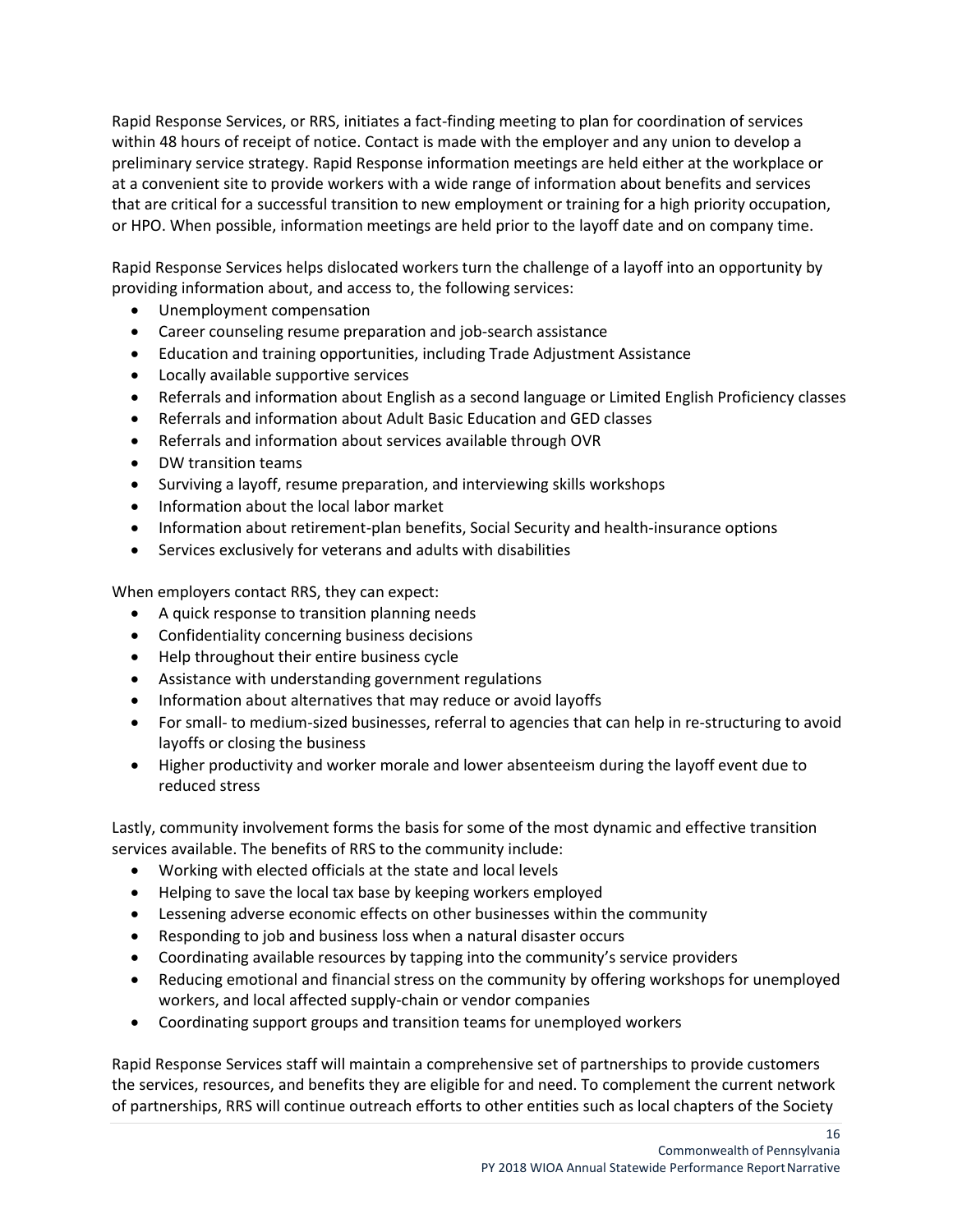Rapid Response Services, or RRS, initiates a fact-finding meeting to plan for coordination of services within 48 hours of receipt of notice. Contact is made with the employer and any union to develop a preliminary service strategy. Rapid Response information meetings are held either at the workplace or at a convenient site to provide workers with a wide range of information about benefits and services that are critical for a successful transition to new employment or training for a high priority occupation, or HPO. When possible, information meetings are held prior to the layoff date and on company time.

Rapid Response Services helps dislocated workers turn the challenge of a layoff into an opportunity by providing information about, and access to, the following services:

- Unemployment compensation
- Career counseling resume preparation and job-search assistance
- Education and training opportunities, including Trade Adjustment Assistance
- Locally available supportive services
- Referrals and information about English as a second language or Limited English Proficiency classes
- Referrals and information about Adult Basic Education and GED classes
- Referrals and information about services available through OVR
- DW transition teams
- Surviving a layoff, resume preparation, and interviewing skills workshops
- Information about the local labor market
- Information about retirement-plan benefits, Social Security and health-insurance options
- Services exclusively for veterans and adults with disabilities

When employers contact RRS, they can expect:

- A quick response to transition planning needs
- Confidentiality concerning business decisions
- Help throughout their entire business cycle
- Assistance with understanding government regulations
- Information about alternatives that may reduce or avoid layoffs
- For small- to medium-sized businesses, referral to agencies that can help in re-structuring to avoid layoffs or closing the business
- Higher productivity and worker morale and lower absenteeism during the layoff event due to reduced stress

Lastly, community involvement forms the basis for some of the most dynamic and effective transition services available. The benefits of RRS to the community include:

- Working with elected officials at the state and local levels
- Helping to save the local tax base by keeping workers employed
- Lessening adverse economic effects on other businesses within the community
- Responding to job and business loss when a natural disaster occurs
- Coordinating available resources by tapping into the community's service providers
- Reducing emotional and financial stress on the community by offering workshops for unemployed workers, and local affected supply-chain or vendor companies
- Coordinating support groups and transition teams for unemployed workers

Rapid Response Services staff will maintain a comprehensive set of partnerships to provide customers the services, resources, and benefits they are eligible for and need. To complement the current network of partnerships, RRS will continue outreach efforts to other entities such as local chapters of the Society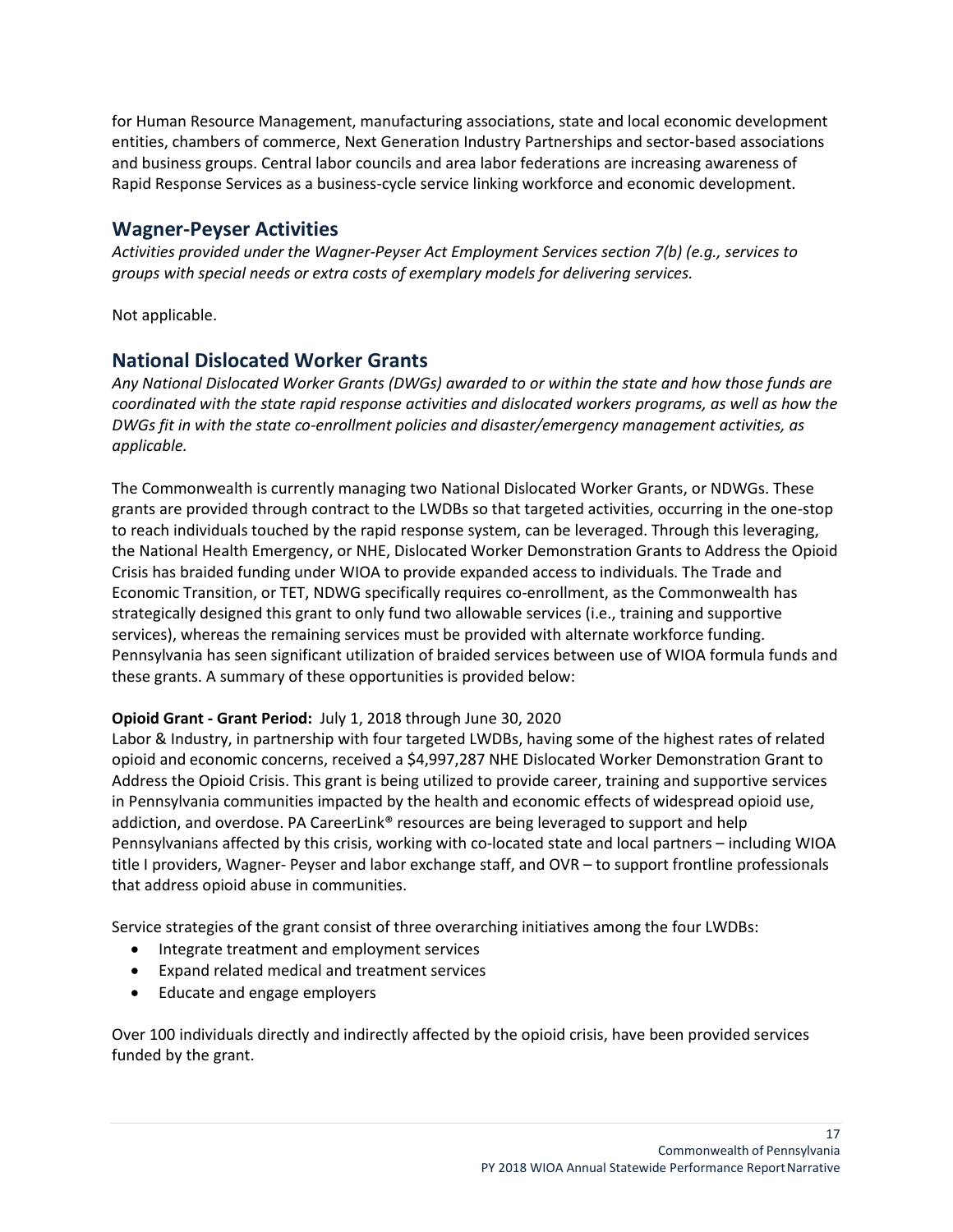for Human Resource Management, manufacturing associations, state and local economic development entities, chambers of commerce, Next Generation Industry Partnerships and sector-based associations and business groups. Central labor councils and area labor federations are increasing awareness of Rapid Response Services as a business-cycle service linking workforce and economic development.

# <span id="page-16-0"></span>**Wagner-Peyser Activities**

*Activities provided under the Wagner-Peyser Act Employment Services section 7(b) (e.g., services to groups with special needs or extra costs of exemplary models for delivering services.*

Not applicable.

# <span id="page-16-1"></span>**National Dislocated Worker Grants**

*Any National Dislocated Worker Grants (DWGs) awarded to or within the state and how those funds are coordinated with the state rapid response activities and dislocated workers programs, as well as how the DWGs fit in with the state co-enrollment policies and disaster/emergency management activities, as applicable.*

The Commonwealth is currently managing two National Dislocated Worker Grants, or NDWGs. These grants are provided through contract to the LWDBs so that targeted activities, occurring in the one-stop to reach individuals touched by the rapid response system, can be leveraged. Through this leveraging, the National Health Emergency, or NHE, Dislocated Worker Demonstration Grants to Address the Opioid Crisis has braided funding under WIOA to provide expanded access to individuals. The Trade and Economic Transition, or TET, NDWG specifically requires co-enrollment, as the Commonwealth has strategically designed this grant to only fund two allowable services (i.e., training and supportive services), whereas the remaining services must be provided with alternate workforce funding. Pennsylvania has seen significant utilization of braided services between use of WIOA formula funds and these grants. A summary of these opportunities is provided below:

### **Opioid Grant - Grant Period:** July 1, 2018 through June 30, 2020

Labor & Industry, in partnership with four targeted LWDBs, having some of the highest rates of related opioid and economic concerns, received a \$4,997,287 NHE Dislocated Worker Demonstration Grant to Address the Opioid Crisis. This grant is being utilized to provide career, training and supportive services in Pennsylvania communities impacted by the health and economic effects of widespread opioid use, addiction, and overdose. PA CareerLink® resources are being leveraged to support and help Pennsylvanians affected by this crisis, working with co-located state and local partners – including WIOA title I providers, Wagner- Peyser and labor exchange staff, and OVR – to support frontline professionals that address opioid abuse in communities.

Service strategies of the grant consist of three overarching initiatives among the four LWDBs:

- Integrate treatment and employment services
- Expand related medical and treatment services
- Educate and engage employers

Over 100 individuals directly and indirectly affected by the opioid crisis, have been provided services funded by the grant.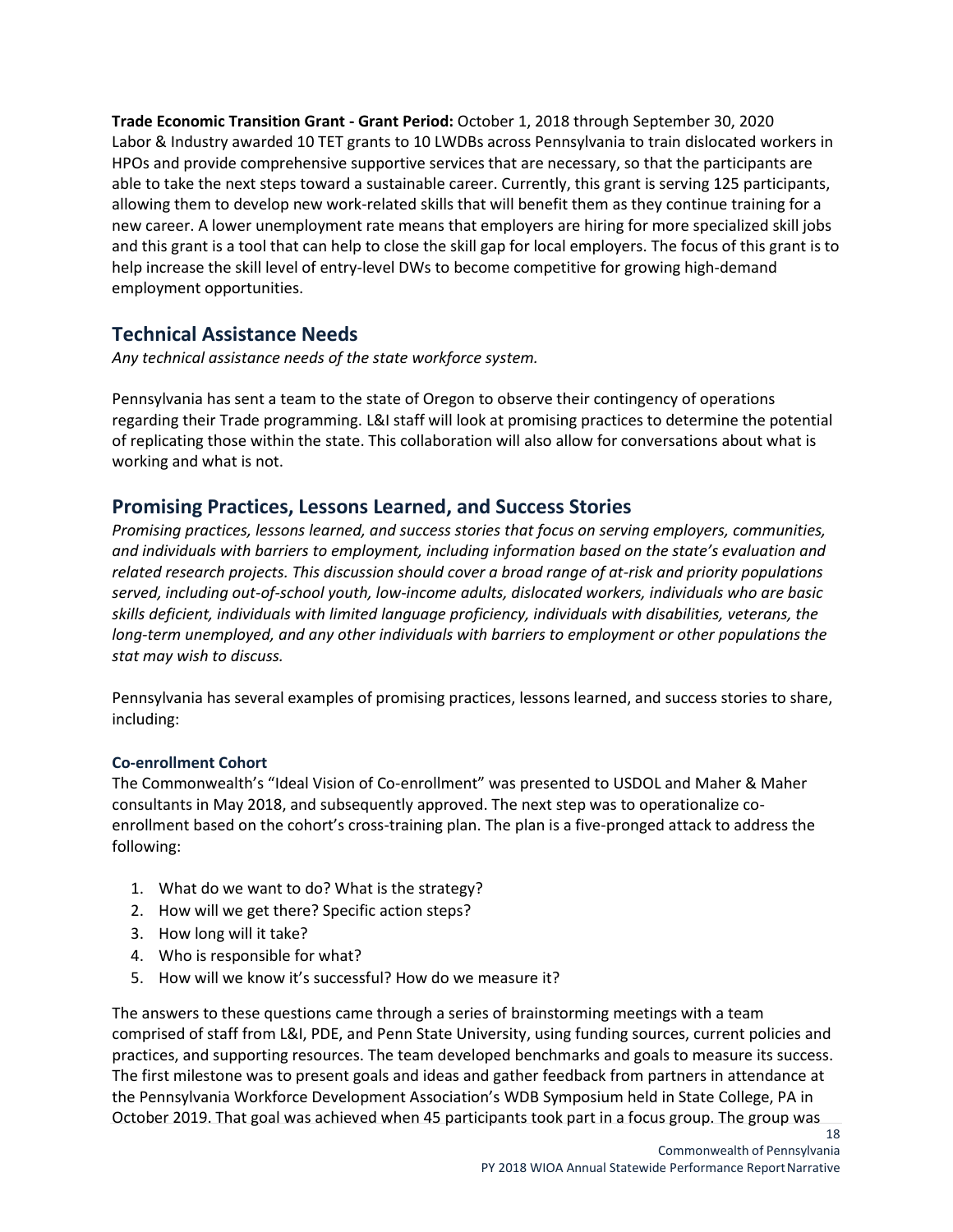**Trade Economic Transition Grant - Grant Period:** October 1, 2018 through September 30, 2020 Labor & Industry awarded 10 TET grants to 10 LWDBs across Pennsylvania to train dislocated workers in HPOs and provide comprehensive supportive services that are necessary, so that the participants are able to take the next steps toward a sustainable career. Currently, this grant is serving 125 participants, allowing them to develop new work-related skills that will benefit them as they continue training for a new career. A lower unemployment rate means that employers are hiring for more specialized skill jobs and this grant is a tool that can help to close the skill gap for local employers. The focus of this grant is to help increase the skill level of entry-level DWs to become competitive for growing high-demand employment opportunities.

# <span id="page-17-0"></span>**Technical Assistance Needs**

*Any technical assistance needs of the state workforce system.*

Pennsylvania has sent a team to the state of Oregon to observe their contingency of operations regarding their Trade programming. L&I staff will look at promising practices to determine the potential of replicating those within the state. This collaboration will also allow for conversations about what is working and what is not.

## <span id="page-17-1"></span>**Promising Practices, Lessons Learned, and Success Stories**

*Promising practices, lessons learned, and success stories that focus on serving employers, communities, and individuals with barriers to employment, including information based on the state's evaluation and related research projects. This discussion should cover a broad range of at-risk and priority populations served, including out-of-school youth, low-income adults, dislocated workers, individuals who are basic skills deficient, individuals with limited language proficiency, individuals with disabilities, veterans, the long-term unemployed, and any other individuals with barriers to employment or other populations the stat may wish to discuss.*

Pennsylvania has several examples of promising practices, lessons learned, and success stories to share, including:

### **Co-enrollment Cohort**

The Commonwealth's "Ideal Vision of Co-enrollment" was presented to USDOL and Maher & Maher consultants in May 2018, and subsequently approved. The next step was to operationalize coenrollment based on the cohort's cross-training plan. The plan is a five-pronged attack to address the following:

- 1. What do we want to do? What is the strategy?
- 2. How will we get there? Specific action steps?
- 3. How long will it take?
- 4. Who is responsible for what?
- 5. How will we know it's successful? How do we measure it?

The answers to these questions came through a series of brainstorming meetings with a team comprised of staff from L&I, PDE, and Penn State University, using funding sources, current policies and practices, and supporting resources. The team developed benchmarks and goals to measure its success. The first milestone was to present goals and ideas and gather feedback from partners in attendance at the Pennsylvania Workforce Development Association's WDB Symposium held in State College, PA in October 2019. That goal was achieved when 45 participants took part in a focus group. The group was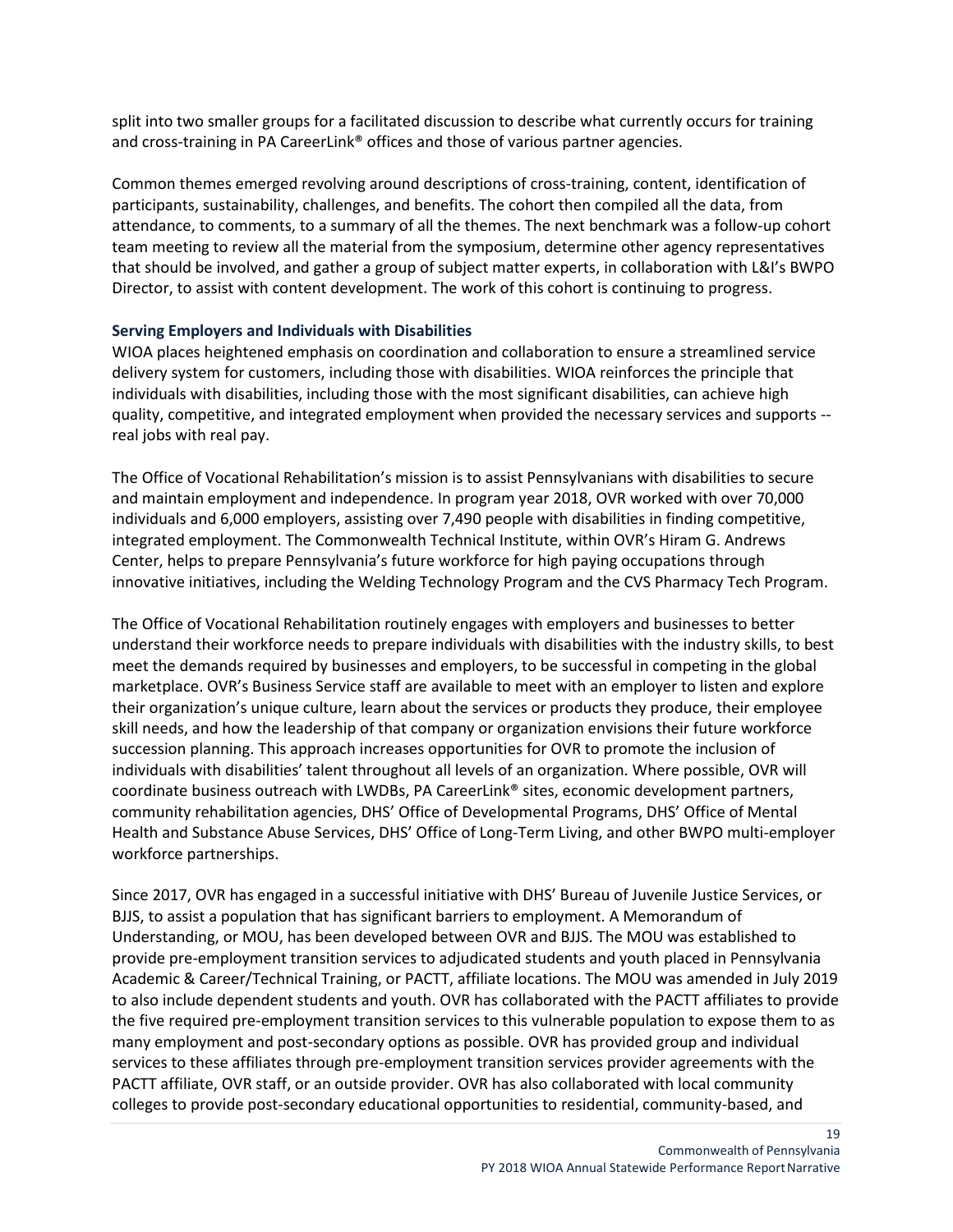split into two smaller groups for a facilitated discussion to describe what currently occurs for training and cross-training in PA CareerLink<sup>®</sup> offices and those of various partner agencies.

Common themes emerged revolving around descriptions of cross-training, content, identification of participants, sustainability, challenges, and benefits. The cohort then compiled all the data, from attendance, to comments, to a summary of all the themes. The next benchmark was a follow-up cohort team meeting to review all the material from the symposium, determine other agency representatives that should be involved, and gather a group of subject matter experts, in collaboration with L&I's BWPO Director, to assist with content development. The work of this cohort is continuing to progress.

#### **Serving Employers and Individuals with Disabilities**

WIOA places heightened emphasis on coordination and collaboration to ensure a streamlined service delivery system for customers, including those with disabilities. WIOA reinforces the principle that individuals with disabilities, including those with the most significant disabilities, can achieve high quality, competitive, and integrated employment when provided the necessary services and supports - real jobs with real pay.

The Office of Vocational Rehabilitation's mission is to assist Pennsylvanians with disabilities to secure and maintain employment and independence. In program year 2018, OVR worked with over 70,000 individuals and 6,000 employers, assisting over 7,490 people with disabilities in finding competitive, integrated employment. The Commonwealth Technical Institute, within OVR's Hiram G. Andrews Center, helps to prepare Pennsylvania's future workforce for high paying occupations through innovative initiatives, including the Welding Technology Program and the CVS Pharmacy Tech Program.

The Office of Vocational Rehabilitation routinely engages with employers and businesses to better understand their workforce needs to prepare individuals with disabilities with the industry skills, to best meet the demands required by businesses and employers, to be successful in competing in the global marketplace. OVR's Business Service staff are available to meet with an employer to listen and explore their organization's unique culture, learn about the services or products they produce, their employee skill needs, and how the leadership of that company or organization envisions their future workforce succession planning. This approach increases opportunities for OVR to promote the inclusion of individuals with disabilities' talent throughout all levels of an organization. Where possible, OVR will coordinate business outreach with LWDBs, PA CareerLink® sites, economic development partners, community rehabilitation agencies, DHS' Office of Developmental Programs, DHS' Office of Mental Health and Substance Abuse Services, DHS' Office of Long-Term Living, and other BWPO multi-employer workforce partnerships.

Since 2017, OVR has engaged in a successful initiative with DHS' Bureau of Juvenile Justice Services, or BJJS, to assist a population that has significant barriers to employment. A Memorandum of Understanding, or MOU, has been developed between OVR and BJJS. The MOU was established to provide pre-employment transition services to adjudicated students and youth placed in Pennsylvania Academic & Career/Technical Training, or PACTT, affiliate locations. The MOU was amended in July 2019 to also include dependent students and youth. OVR has collaborated with the PACTT affiliates to provide the five required pre-employment transition services to this vulnerable population to expose them to as many employment and post-secondary options as possible. OVR has provided group and individual services to these affiliates through pre-employment transition services provider agreements with the PACTT affiliate, OVR staff, or an outside provider. OVR has also collaborated with local community colleges to provide post-secondary educational opportunities to residential, community-based, and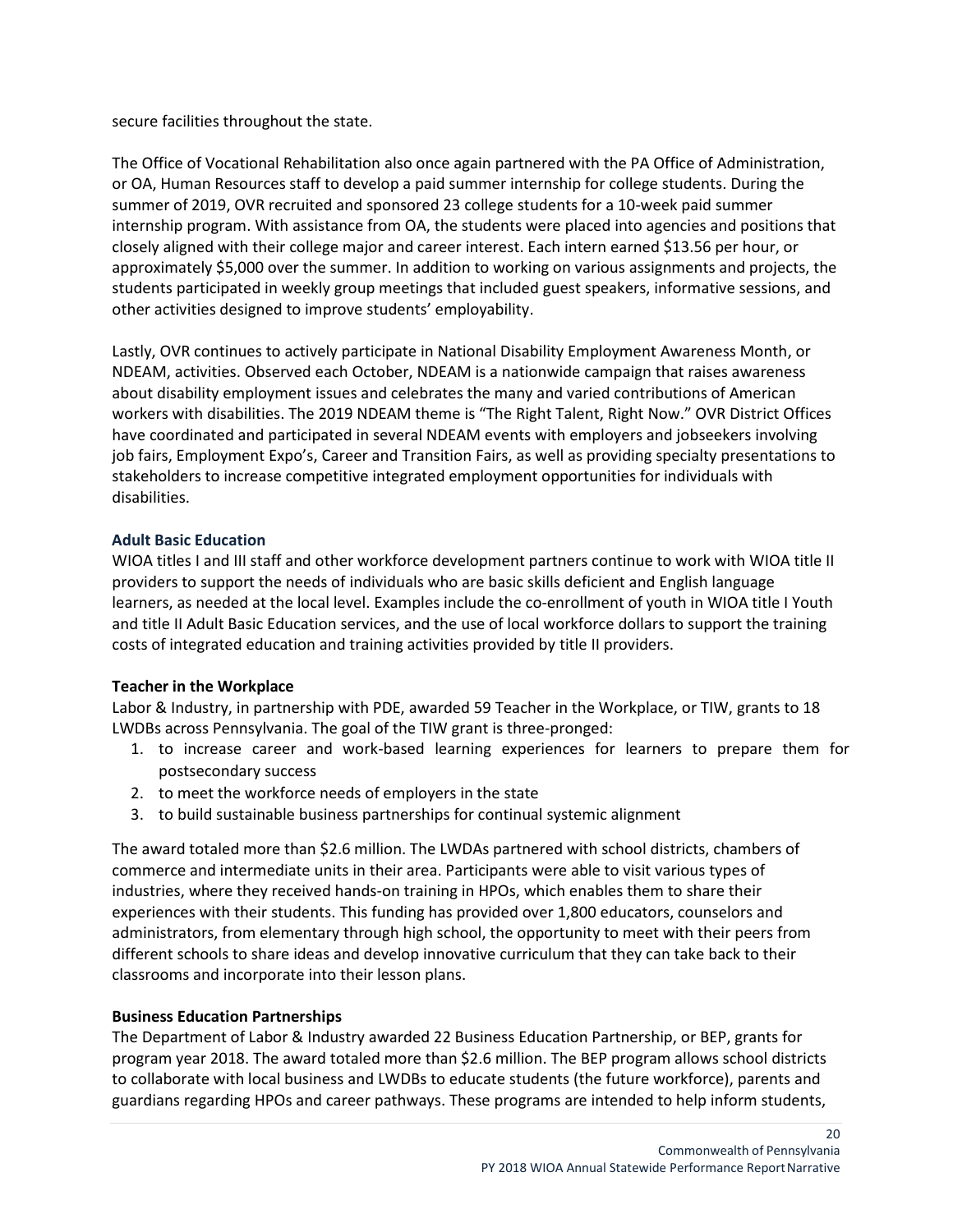secure facilities throughout the state.

The Office of Vocational Rehabilitation also once again partnered with the PA Office of Administration, or OA, Human Resources staff to develop a paid summer internship for college students. During the summer of 2019, OVR recruited and sponsored 23 college students for a 10-week paid summer internship program. With assistance from OA, the students were placed into agencies and positions that closely aligned with their college major and career interest. Each intern earned \$13.56 per hour, or approximately \$5,000 over the summer. In addition to working on various assignments and projects, the students participated in weekly group meetings that included guest speakers, informative sessions, and other activities designed to improve students' employability.

Lastly, OVR continues to actively participate in National Disability Employment Awareness Month, or NDEAM, activities. Observed each October, NDEAM is a nationwide campaign that raises awareness about disability employment issues and celebrates the many and varied contributions of American workers with disabilities. The 2019 NDEAM theme is "The Right Talent, Right Now." OVR District Offices have coordinated and participated in several NDEAM events with employers and jobseekers involving job fairs, Employment Expo's, Career and Transition Fairs, as well as providing specialty presentations to stakeholders to increase competitive integrated employment opportunities for individuals with disabilities.

### <span id="page-19-0"></span>**Adult Basic Education**

WIOA titles I and III staff and other workforce development partners continue to work with WIOA title II providers to support the needs of individuals who are basic skills deficient and English language learners, as needed at the local level. Examples include the co-enrollment of youth in WIOA title I Youth and title II Adult Basic Education services, and the use of local workforce dollars to support the training costs of integrated education and training activities provided by title II providers.

### **Teacher in the Workplace**

Labor & Industry, in partnership with PDE, awarded 59 Teacher in the Workplace, or TIW, grants to 18 LWDBs across Pennsylvania. The goal of the TIW grant is three-pronged:

- 1. to increase career and work-based learning experiences for learners to prepare them for postsecondary success
- 2. to meet the workforce needs of employers in the state
- 3. to build sustainable business partnerships for continual systemic alignment

The award totaled more than \$2.6 million. The LWDAs partnered with school districts, chambers of commerce and intermediate units in their area. Participants were able to visit various types of industries, where they received hands-on training in HPOs, which enables them to share their experiences with their students. This funding has provided over 1,800 educators, counselors and administrators, from elementary through high school, the opportunity to meet with their peers from different schools to share ideas and develop innovative curriculum that they can take back to their classrooms and incorporate into their lesson plans.

### **Business Education Partnerships**

The Department of Labor & Industry awarded 22 Business Education Partnership, or BEP, grants for program year 2018. The award totaled more than \$2.6 million. The BEP program allows school districts to collaborate with local business and LWDBs to educate students (the future workforce), parents and guardians regarding HPOs and career pathways. These programs are intended to help inform students,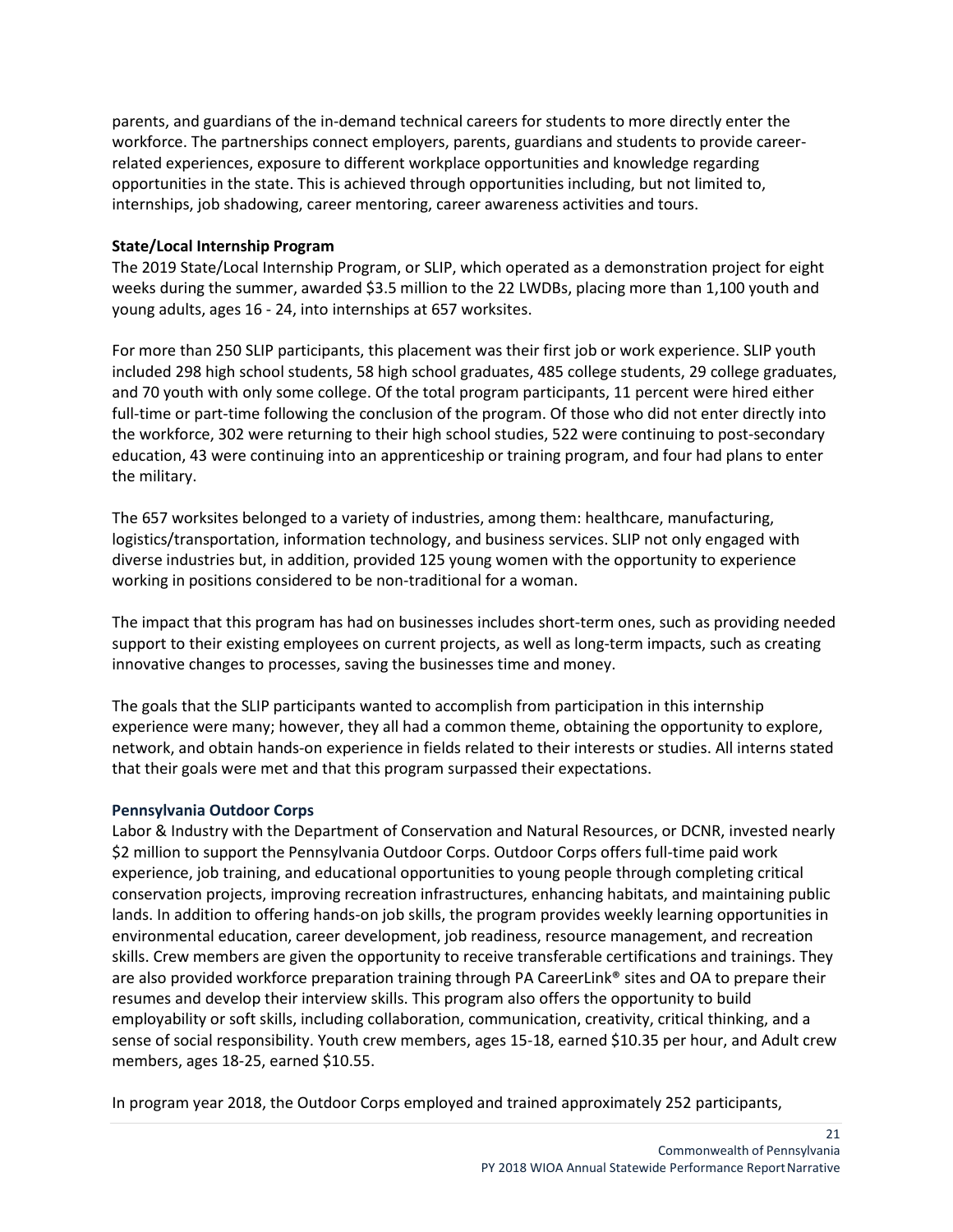parents, and guardians of the in-demand technical careers for students to more directly enter the workforce. The partnerships connect employers, parents, guardians and students to provide careerrelated experiences, exposure to different workplace opportunities and knowledge regarding opportunities in the state. This is achieved through opportunities including, but not limited to, internships, job shadowing, career mentoring, career awareness activities and tours.

### **State/Local Internship Program**

The 2019 State/Local Internship Program, or SLIP, which operated as a demonstration project for eight weeks during the summer, awarded \$3.5 million to the 22 LWDBs, placing more than 1,100 youth and young adults, ages 16 - 24, into internships at 657 worksites.

For more than 250 SLIP participants, this placement was their first job or work experience. SLIP youth included 298 high school students, 58 high school graduates, 485 college students, 29 college graduates, and 70 youth with only some college. Of the total program participants, 11 percent were hired either full-time or part-time following the conclusion of the program. Of those who did not enter directly into the workforce, 302 were returning to their high school studies, 522 were continuing to post-secondary education, 43 were continuing into an apprenticeship or training program, and four had plans to enter the military.

The 657 worksites belonged to a variety of industries, among them: healthcare, manufacturing, logistics/transportation, information technology, and business services. SLIP not only engaged with diverse industries but, in addition, provided 125 young women with the opportunity to experience working in positions considered to be non-traditional for a woman.

The impact that this program has had on businesses includes short-term ones, such as providing needed support to their existing employees on current projects, as well as long-term impacts, such as creating innovative changes to processes, saving the businesses time and money.

The goals that the SLIP participants wanted to accomplish from participation in this internship experience were many; however, they all had a common theme, obtaining the opportunity to explore, network, and obtain hands-on experience in fields related to their interests or studies. All interns stated that their goals were met and that this program surpassed their expectations.

#### <span id="page-20-0"></span>**Pennsylvania Outdoor Corps**

Labor & Industry with the Department of Conservation and Natural Resources, or DCNR, invested nearly \$2 million to support the Pennsylvania Outdoor Corps. Outdoor Corps offers full-time paid work experience, job training, and educational opportunities to young people through completing critical conservation projects, improving recreation infrastructures, enhancing habitats, and maintaining public lands. In addition to offering hands-on job skills, the program provides weekly learning opportunities in environmental education, career development, job readiness, resource management, and recreation skills. Crew members are given the opportunity to receive transferable certifications and trainings. They are also provided workforce preparation training through PA CareerLink® sites and OA to prepare their resumes and develop their interview skills. This program also offers the opportunity to build employability or soft skills, including collaboration, communication, creativity, critical thinking, and a sense of social responsibility. Youth crew members, ages 15-18, earned \$10.35 per hour, and Adult crew members, ages 18-25, earned \$10.55.

In program year 2018, the Outdoor Corps employed and trained approximately 252 participants,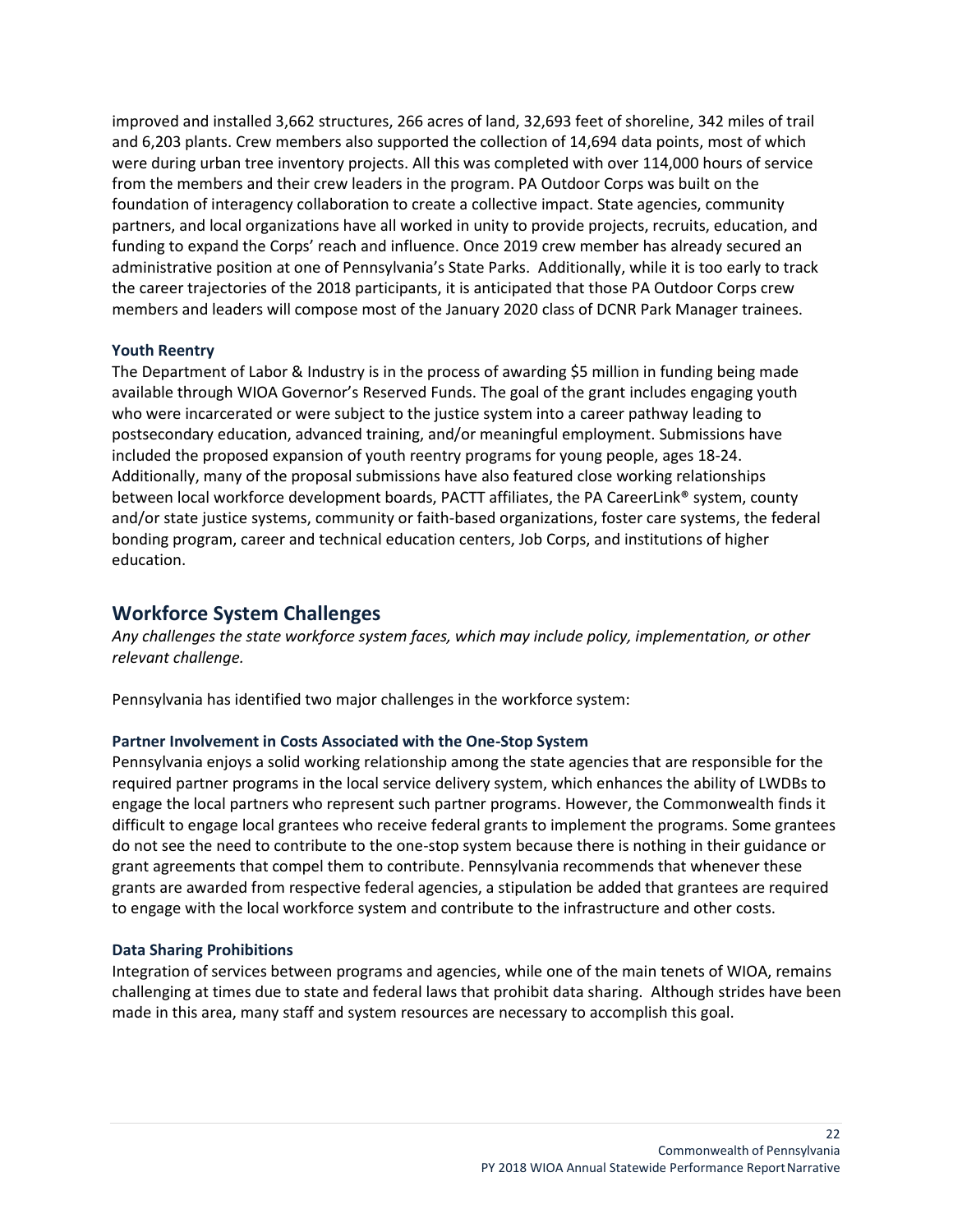improved and installed 3,662 structures, 266 acres of land, 32,693 feet of shoreline, 342 miles of trail and 6,203 plants. Crew members also supported the collection of 14,694 data points, most of which were during urban tree inventory projects. All this was completed with over 114,000 hours of service from the members and their crew leaders in the program. PA Outdoor Corps was built on the foundation of interagency collaboration to create a collective impact. State agencies, community partners, and local organizations have all worked in unity to provide projects, recruits, education, and funding to expand the Corps' reach and influence. Once 2019 crew member has already secured an administrative position at one of Pennsylvania's State Parks. Additionally, while it is too early to track the career trajectories of the 2018 participants, it is anticipated that those PA Outdoor Corps crew members and leaders will compose most of the January 2020 class of DCNR Park Manager trainees.

### **Youth Reentry**

The Department of Labor & Industry is in the process of awarding \$5 million in funding being made available through WIOA Governor's Reserved Funds. The goal of the grant includes engaging youth who were incarcerated or were subject to the justice system into a career pathway leading to postsecondary education, advanced training, and/or meaningful employment. Submissions have included the proposed expansion of youth reentry programs for young people, ages 18-24. Additionally, many of the proposal submissions have also featured close working relationships between local workforce development boards, PACTT affiliates, the PA CareerLink® system, county and/or state justice systems, community or faith-based organizations, foster care systems, the federal bonding program, career and technical education centers, Job Corps, and institutions of higher education.

### <span id="page-21-0"></span>**Workforce System Challenges**

*Any challenges the state workforce system faces, which may include policy, implementation, or other relevant challenge.*

Pennsylvania has identified two major challenges in the workforce system:

#### <span id="page-21-1"></span>**Partner Involvement in Costs Associated with the One-Stop System**

Pennsylvania enjoys a solid working relationship among the state agencies that are responsible for the required partner programs in the local service delivery system, which enhances the ability of LWDBs to engage the local partners who represent such partner programs. However, the Commonwealth finds it difficult to engage local grantees who receive federal grants to implement the programs. Some grantees do not see the need to contribute to the one-stop system because there is nothing in their guidance or grant agreements that compel them to contribute. Pennsylvania recommends that whenever these grants are awarded from respective federal agencies, a stipulation be added that grantees are required to engage with the local workforce system and contribute to the infrastructure and other costs.

#### <span id="page-21-2"></span>**Data Sharing Prohibitions**

Integration of services between programs and agencies, while one of the main tenets of WIOA, remains challenging at times due to state and federal laws that prohibit data sharing. Although strides have been made in this area, many staff and system resources are necessary to accomplish this goal.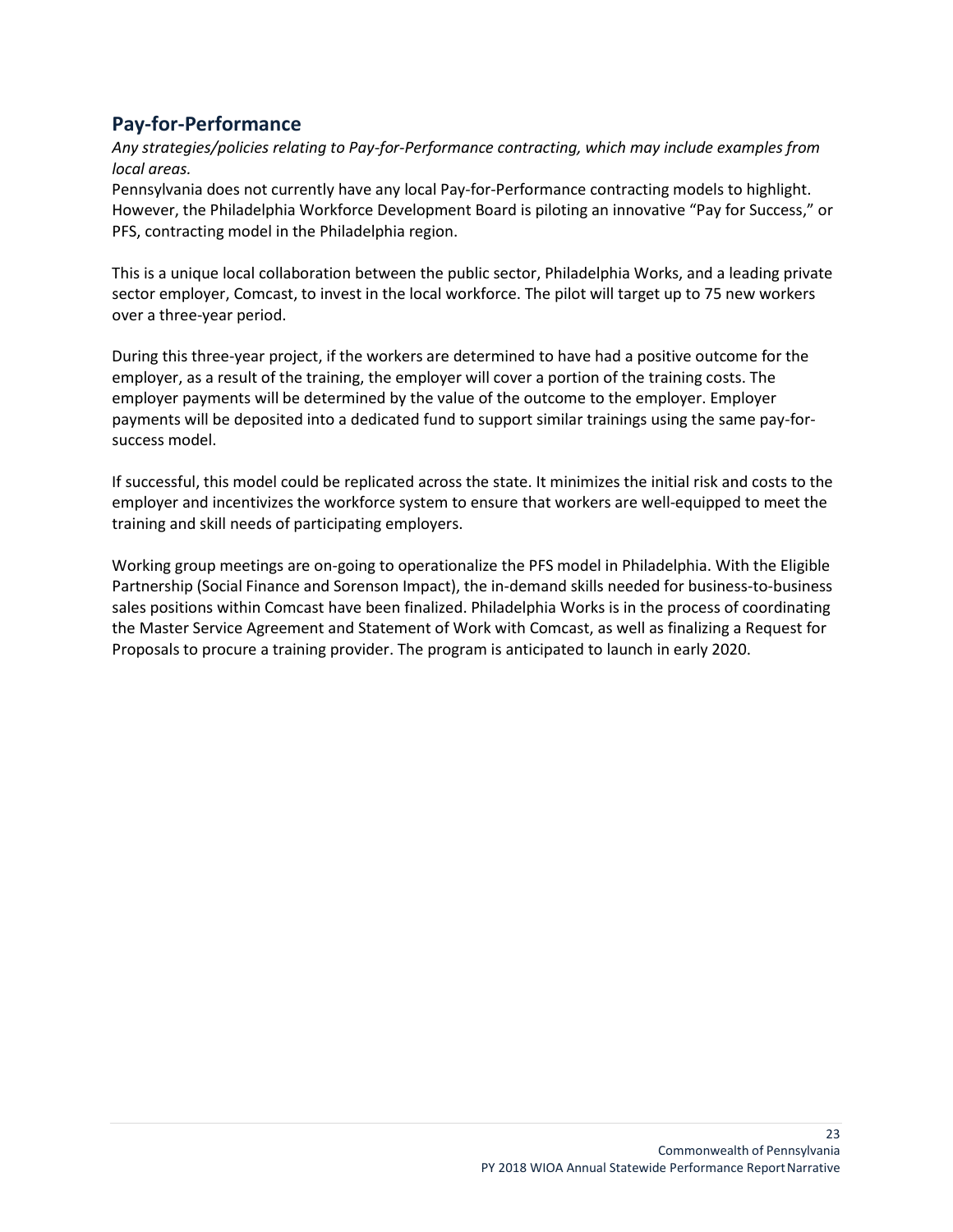# <span id="page-22-0"></span>**Pay-for-Performance**

*Any strategies/policies relating to Pay-for-Performance contracting, which may include examples from local areas.*

Pennsylvania does not currently have any local Pay-for-Performance contracting models to highlight. However, the Philadelphia Workforce Development Board is piloting an innovative "Pay for Success," or PFS, contracting model in the Philadelphia region.

This is a unique local collaboration between the public sector, Philadelphia Works, and a leading private sector employer, Comcast, to invest in the local workforce. The pilot will target up to 75 new workers over a three-year period.

During this three-year project, if the workers are determined to have had a positive outcome for the employer, as a result of the training, the employer will cover a portion of the training costs. The employer payments will be determined by the value of the outcome to the employer. Employer payments will be deposited into a dedicated fund to support similar trainings using the same pay-forsuccess model.

If successful, this model could be replicated across the state. It minimizes the initial risk and costs to the employer and incentivizes the workforce system to ensure that workers are well-equipped to meet the training and skill needs of participating employers.

Working group meetings are on-going to operationalize the PFS model in Philadelphia. With the Eligible Partnership (Social Finance and Sorenson Impact), the in-demand skills needed for business-to-business sales positions within Comcast have been finalized. Philadelphia Works is in the process of coordinating the Master Service Agreement and Statement of Work with Comcast, as well as finalizing a Request for Proposals to procure a training provider. The program is anticipated to launch in early 2020.